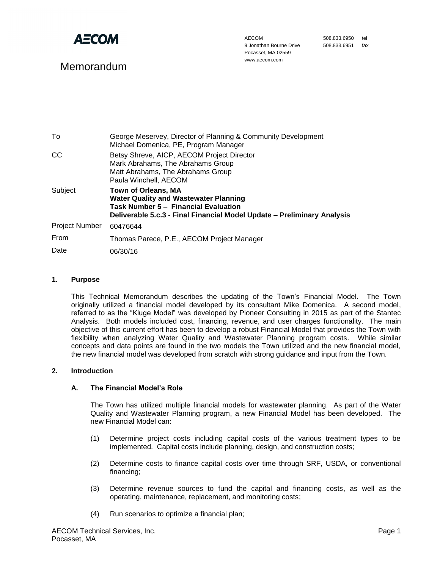

# Memorandum

AECOM 9 Jonathan Bourne Drive Pocasset, MA 02559 www.aecom.com

508.833.6950 tel 508.833.6951 fax

| To                    | George Meservey, Director of Planning & Community Development<br>Michael Domenica, PE, Program Manager                                                                                        |
|-----------------------|-----------------------------------------------------------------------------------------------------------------------------------------------------------------------------------------------|
| CC                    | Betsy Shreve, AICP, AECOM Project Director<br>Mark Abrahams, The Abrahams Group<br>Matt Abrahams, The Abrahams Group<br>Paula Winchell, AECOM                                                 |
| Subject               | <b>Town of Orleans, MA</b><br><b>Water Quality and Wastewater Planning</b><br>Task Number 5 - Financial Evaluation<br>Deliverable 5.c.3 - Final Financial Model Update - Preliminary Analysis |
| <b>Project Number</b> | 60476644                                                                                                                                                                                      |
| From                  | Thomas Parece, P.E., AECOM Project Manager                                                                                                                                                    |
| Date                  | 06/30/16                                                                                                                                                                                      |

#### **1. Purpose**

This Technical Memorandum describes the updating of the Town's Financial Model. The Town originally utilized a financial model developed by its consultant Mike Domenica. A second model, referred to as the "Kluge Model" was developed by Pioneer Consulting in 2015 as part of the Stantec Analysis. Both models included cost, financing, revenue, and user charges functionality. The main objective of this current effort has been to develop a robust Financial Model that provides the Town with flexibility when analyzing Water Quality and Wastewater Planning program costs. While similar concepts and data points are found in the two models the Town utilized and the new financial model, the new financial model was developed from scratch with strong guidance and input from the Town.

#### **2. Introduction**

#### **A. The Financial Model's Role**

The Town has utilized multiple financial models for wastewater planning. As part of the Water Quality and Wastewater Planning program, a new Financial Model has been developed. The new Financial Model can:

- (1) Determine project costs including capital costs of the various treatment types to be implemented. Capital costs include planning, design, and construction costs;
- (2) Determine costs to finance capital costs over time through SRF, USDA, or conventional financing;
- (3) Determine revenue sources to fund the capital and financing costs, as well as the operating, maintenance, replacement, and monitoring costs;
- (4) Run scenarios to optimize a financial plan;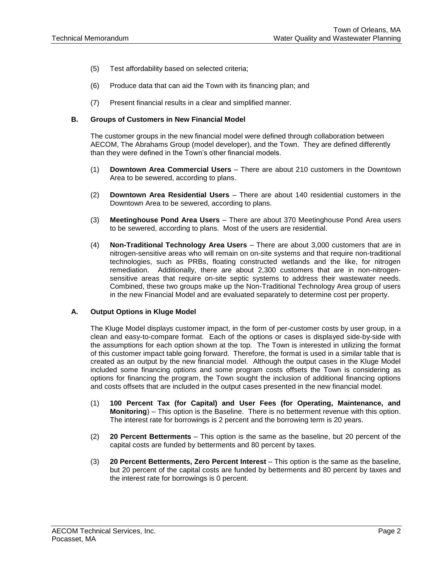- (5) Test affordability based on selected criteria;
- (6) Produce data that can aid the Town with its financing plan; and
- (7) Present financial results in a clear and simplified manner.

#### **B. Groups of Customers in New Financial Model**

The customer groups in the new financial model were defined through collaboration between AECOM, The Abrahams Group (model developer), and the Town. They are defined differently than they were defined in the Town's other financial models.

- (1) **Downtown Area Commercial Users** There are about 210 customers in the Downtown Area to be sewered, according to plans.
- (2) **Downtown Area Residential Users** There are about 140 residential customers in the Downtown Area to be sewered, according to plans.
- (3) **Meetinghouse Pond Area Users** There are about 370 Meetinghouse Pond Area users to be sewered, according to plans. Most of the users are residential.
- (4) **Non-Traditional Technology Area Users** There are about 3,000 customers that are in nitrogen-sensitive areas who will remain on on-site systems and that require non-traditional technologies, such as PRBs, floating constructed wetlands and the like, for nitrogen remediation. Additionally, there are about 2,300 customers that are in non-nitrogensensitive areas that require on-site septic systems to address their wastewater needs. Combined, these two groups make up the Non-Traditional Technology Area group of users in the new Financial Model and are evaluated separately to determine cost per property.

#### **A. Output Options in Kluge Model**

The Kluge Model displays customer impact, in the form of per-customer costs by user group, in a clean and easy-to-compare format. Each of the options or cases is displayed side-by-side with the assumptions for each option shown at the top. The Town is interested in utilizing the format of this customer impact table going forward. Therefore, the format is used in a similar table that is created as an output by the new financial model. Although the output cases in the Kluge Model included some financing options and some program costs offsets the Town is considering as options for financing the program, the Town sought the inclusion of additional financing options and costs offsets that are included in the output cases presented in the new financial model.

- (1) **100 Percent Tax (for Capital) and User Fees (for Operating, Maintenance, and Monitoring**) – This option is the Baseline. There is no betterment revenue with this option. The interest rate for borrowings is 2 percent and the borrowing term is 20 years.
- (2) **20 Percent Betterments** This option is the same as the baseline, but 20 percent of the capital costs are funded by betterments and 80 percent by taxes.
- (3) **20 Percent Betterments, Zero Percent Interest** This option is the same as the baseline, but 20 percent of the capital costs are funded by betterments and 80 percent by taxes and the interest rate for borrowings is 0 percent.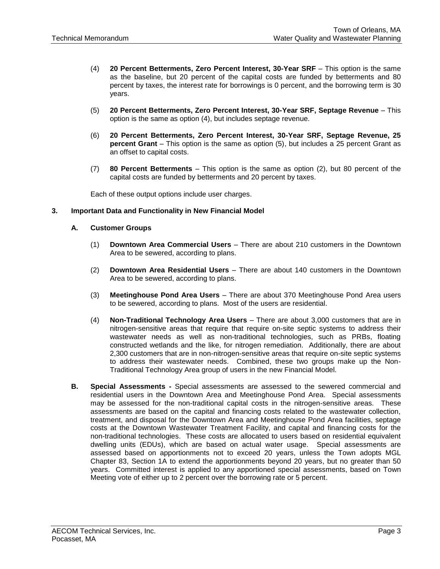- (4) **20 Percent Betterments, Zero Percent Interest, 30-Year SRF** This option is the same as the baseline, but 20 percent of the capital costs are funded by betterments and 80 percent by taxes, the interest rate for borrowings is 0 percent, and the borrowing term is 30 years.
- (5) **20 Percent Betterments, Zero Percent Interest, 30-Year SRF, Septage Revenue** This option is the same as option (4), but includes septage revenue.
- (6) **20 Percent Betterments, Zero Percent Interest, 30-Year SRF, Septage Revenue, 25 percent Grant** – This option is the same as option (5), but includes a 25 percent Grant as an offset to capital costs.
- (7) **80 Percent Betterments** This option is the same as option (2), but 80 percent of the capital costs are funded by betterments and 20 percent by taxes.

Each of these output options include user charges.

### **3. Important Data and Functionality in New Financial Model**

### **A. Customer Groups**

- (1) **Downtown Area Commercial Users** There are about 210 customers in the Downtown Area to be sewered, according to plans.
- (2) **Downtown Area Residential Users** There are about 140 customers in the Downtown Area to be sewered, according to plans.
- (3) **Meetinghouse Pond Area Users** There are about 370 Meetinghouse Pond Area users to be sewered, according to plans. Most of the users are residential.
- (4) **Non-Traditional Technology Area Users** There are about 3,000 customers that are in nitrogen-sensitive areas that require that require on-site septic systems to address their wastewater needs as well as non-traditional technologies, such as PRBs, floating constructed wetlands and the like, for nitrogen remediation. Additionally, there are about 2,300 customers that are in non-nitrogen-sensitive areas that require on-site septic systems to address their wastewater needs. Combined, these two groups make up the Non-Traditional Technology Area group of users in the new Financial Model.
- **B. Special Assessments -** Special assessments are assessed to the sewered commercial and residential users in the Downtown Area and Meetinghouse Pond Area. Special assessments may be assessed for the non-traditional capital costs in the nitrogen-sensitive areas. These assessments are based on the capital and financing costs related to the wastewater collection, treatment, and disposal for the Downtown Area and Meetinghouse Pond Area facilities, septage costs at the Downtown Wastewater Treatment Facility, and capital and financing costs for the non-traditional technologies. These costs are allocated to users based on residential equivalent dwelling units (EDUs), which are based on actual water usage. Special assessments are assessed based on apportionments not to exceed 20 years, unless the Town adopts MGL Chapter 83, Section 1A to extend the apportionments beyond 20 years, but no greater than 50 years. Committed interest is applied to any apportioned special assessments, based on Town Meeting vote of either up to 2 percent over the borrowing rate or 5 percent.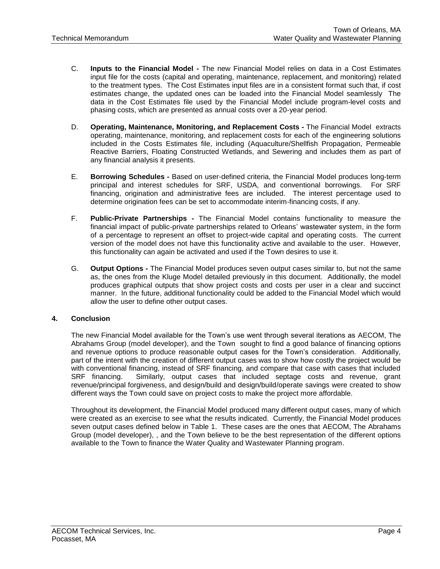- C. **Inputs to the Financial Model -** The new Financial Model relies on data in a Cost Estimates input file for the costs (capital and operating, maintenance, replacement, and monitoring) related to the treatment types. The Cost Estimates input files are in a consistent format such that, if cost estimates change, the updated ones can be loaded into the Financial Model seamlessly The data in the Cost Estimates file used by the Financial Model include program-level costs and phasing costs, which are presented as annual costs over a 20-year period.
- D. **Operating, Maintenance, Monitoring, and Replacement Costs -** The Financial Model extracts operating, maintenance, monitoring, and replacement costs for each of the engineering solutions included in the Costs Estimates file, including (Aquaculture/Shellfish Propagation, Permeable Reactive Barriers, Floating Constructed Wetlands, and Sewering and includes them as part of any financial analysis it presents.
- E. **Borrowing Schedules -** Based on user-defined criteria, the Financial Model produces long-term principal and interest schedules for SRF, USDA, and conventional borrowings. For SRF financing, origination and administrative fees are included. The interest percentage used to determine origination fees can be set to accommodate interim-financing costs, if any.
- F. **Public-Private Partnerships -** The Financial Model contains functionality to measure the financial impact of public-private partnerships related to Orleans' wastewater system, in the form of a percentage to represent an offset to project-wide capital and operating costs. The current version of the model does not have this functionality active and available to the user. However, this functionality can again be activated and used if the Town desires to use it.
- G. **Output Options -** The Financial Model produces seven output cases similar to, but not the same as, the ones from the Kluge Model detailed previously in this document. Additionally, the model produces graphical outputs that show project costs and costs per user in a clear and succinct manner. In the future, additional functionality could be added to the Financial Model which would allow the user to define other output cases.

### **4. Conclusion**

The new Financial Model available for the Town's use went through several iterations as AECOM, The Abrahams Group (model developer), and the Town sought to find a good balance of financing options and revenue options to produce reasonable output cases for the Town's consideration. Additionally, part of the intent with the creation of different output cases was to show how costly the project would be with conventional financing, instead of SRF financing, and compare that case with cases that included SRF financing. Similarly, output cases that included septage costs and revenue, grant revenue/principal forgiveness, and design/build and design/build/operate savings were created to show different ways the Town could save on project costs to make the project more affordable.

Throughout its development, the Financial Model produced many different output cases, many of which were created as an exercise to see what the results indicated. Currently, the Financial Model produces seven output cases defined below in Table 1. These cases are the ones that AECOM, The Abrahams Group (model developer), , and the Town believe to be the best representation of the different options available to the Town to finance the Water Quality and Wastewater Planning program.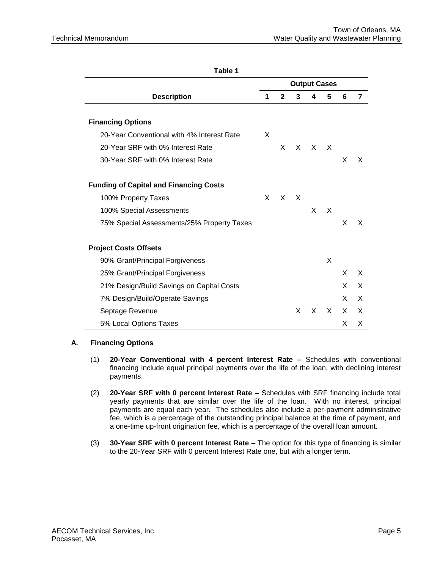| I ANIC I                                      |   |              |    |                     |              |    |   |
|-----------------------------------------------|---|--------------|----|---------------------|--------------|----|---|
|                                               |   |              |    | <b>Output Cases</b> |              |    |   |
| <b>Description</b>                            | 1 | $\mathbf{2}$ | 3  | 4                   | 5            | 6  | 7 |
|                                               |   |              |    |                     |              |    |   |
| <b>Financing Options</b>                      |   |              |    |                     |              |    |   |
| 20-Year Conventional with 4% Interest Rate    | X |              |    |                     |              |    |   |
| 20-Year SRF with 0% Interest Rate             |   | X.           | X. | X.                  | X            |    |   |
| 30-Year SRF with 0% Interest Rate             |   |              |    |                     |              | X  | X |
|                                               |   |              |    |                     |              |    |   |
| <b>Funding of Capital and Financing Costs</b> |   |              |    |                     |              |    |   |
| 100% Property Taxes                           | X | X            | X  |                     |              |    |   |
| 100% Special Assessments                      |   |              |    | X.                  | X            |    |   |
| 75% Special Assessments/25% Property Taxes    |   |              |    |                     |              | X  | X |
|                                               |   |              |    |                     |              |    |   |
| <b>Project Costs Offsets</b>                  |   |              |    |                     |              |    |   |
| 90% Grant/Principal Forgiveness               |   |              |    |                     | X            |    |   |
| 25% Grant/Principal Forgiveness               |   |              |    |                     |              | X. | X |
| 21% Design/Build Savings on Capital Costs     |   |              |    |                     |              | X. | X |
| 7% Design/Build/Operate Savings               |   |              |    |                     |              | X. | X |
| Septage Revenue                               |   |              | X  | X                   | $\mathsf{X}$ | X  | X |
| 5% Local Options Taxes                        |   |              |    |                     |              | X  | X |
|                                               |   |              |    |                     |              |    |   |

**Table 1**

### **A. Financing Options**

- (1) **20-Year Conventional with 4 percent Interest Rate –** Schedules with conventional financing include equal principal payments over the life of the loan, with declining interest payments.
- (2) **20-Year SRF with 0 percent Interest Rate –** Schedules with SRF financing include total yearly payments that are similar over the life of the loan. With no interest, principal payments are equal each year. The schedules also include a per-payment administrative fee, which is a percentage of the outstanding principal balance at the time of payment, and a one-time up-front origination fee, which is a percentage of the overall loan amount.
- (3) **30-Year SRF with 0 percent Interest Rate –** The option for this type of financing is similar to the 20-Year SRF with 0 percent Interest Rate one, but with a longer term.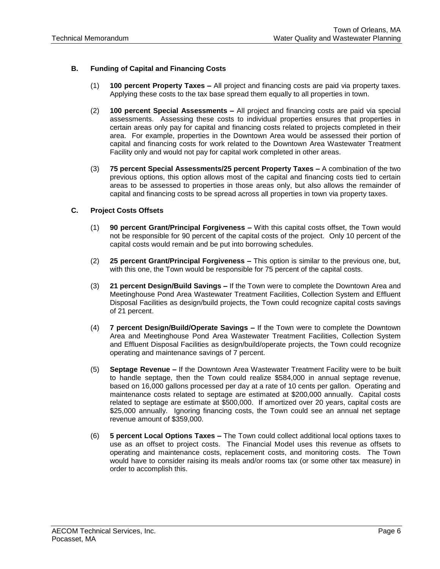## **B. Funding of Capital and Financing Costs**

- (1) **100 percent Property Taxes –** All project and financing costs are paid via property taxes. Applying these costs to the tax base spread them equally to all properties in town.
- (2) **100 percent Special Assessments –** All project and financing costs are paid via special assessments. Assessing these costs to individual properties ensures that properties in certain areas only pay for capital and financing costs related to projects completed in their area. For example, properties in the Downtown Area would be assessed their portion of capital and financing costs for work related to the Downtown Area Wastewater Treatment Facility only and would not pay for capital work completed in other areas.
- (3) **75 percent Special Assessments/25 percent Property Taxes –** A combination of the two previous options, this option allows most of the capital and financing costs tied to certain areas to be assessed to properties in those areas only, but also allows the remainder of capital and financing costs to be spread across all properties in town via property taxes.

### **C. Project Costs Offsets**

- (1) **90 percent Grant/Principal Forgiveness –** With this capital costs offset, the Town would not be responsible for 90 percent of the capital costs of the project. Only 10 percent of the capital costs would remain and be put into borrowing schedules.
- (2) **25 percent Grant/Principal Forgiveness –** This option is similar to the previous one, but, with this one, the Town would be responsible for 75 percent of the capital costs.
- (3) **21 percent Design/Build Savings –** If the Town were to complete the Downtown Area and Meetinghouse Pond Area Wastewater Treatment Facilities, Collection System and Effluent Disposal Facilities as design/build projects, the Town could recognize capital costs savings of 21 percent.
- (4) **7 percent Design/Build/Operate Savings –** If the Town were to complete the Downtown Area and Meetinghouse Pond Area Wastewater Treatment Facilities, Collection System and Effluent Disposal Facilities as design/build/operate projects, the Town could recognize operating and maintenance savings of 7 percent.
- (5) **Septage Revenue –** If the Downtown Area Wastewater Treatment Facility were to be built to handle septage, then the Town could realize \$584,000 in annual septage revenue, based on 16,000 gallons processed per day at a rate of 10 cents per gallon. Operating and maintenance costs related to septage are estimated at \$200,000 annually. Capital costs related to septage are estimate at \$500,000. If amortized over 20 years, capital costs are \$25,000 annually. Ignoring financing costs, the Town could see an annual net septage revenue amount of \$359,000.
- (6) **5 percent Local Options Taxes –** The Town could collect additional local options taxes to use as an offset to project costs. The Financial Model uses this revenue as offsets to operating and maintenance costs, replacement costs, and monitoring costs. The Town would have to consider raising its meals and/or rooms tax (or some other tax measure) in order to accomplish this.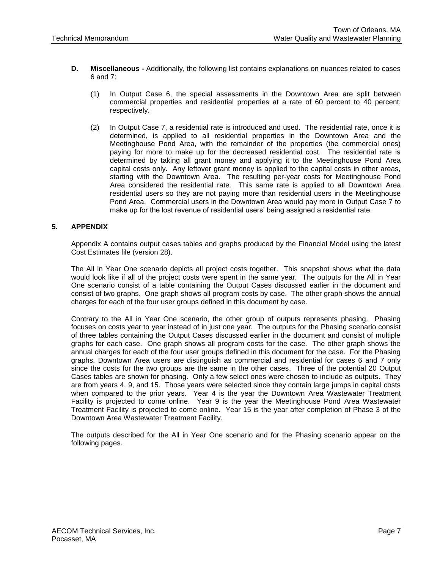- **D. Miscellaneous -** Additionally, the following list contains explanations on nuances related to cases 6 and 7:
	- (1) In Output Case 6, the special assessments in the Downtown Area are split between commercial properties and residential properties at a rate of 60 percent to 40 percent, respectively.
	- (2) In Output Case 7, a residential rate is introduced and used. The residential rate, once it is determined, is applied to all residential properties in the Downtown Area and the Meetinghouse Pond Area, with the remainder of the properties (the commercial ones) paying for more to make up for the decreased residential cost. The residential rate is determined by taking all grant money and applying it to the Meetinghouse Pond Area capital costs only. Any leftover grant money is applied to the capital costs in other areas, starting with the Downtown Area. The resulting per-year costs for Meetinghouse Pond Area considered the residential rate. This same rate is applied to all Downtown Area residential users so they are not paying more than residential users in the Meetinghouse Pond Area. Commercial users in the Downtown Area would pay more in Output Case 7 to make up for the lost revenue of residential users' being assigned a residential rate.

# **5. APPENDIX**

Appendix A contains output cases tables and graphs produced by the Financial Model using the latest Cost Estimates file (version 28).

The All in Year One scenario depicts all project costs together. This snapshot shows what the data would look like if all of the project costs were spent in the same year. The outputs for the All in Year One scenario consist of a table containing the Output Cases discussed earlier in the document and consist of two graphs. One graph shows all program costs by case. The other graph shows the annual charges for each of the four user groups defined in this document by case.

Contrary to the All in Year One scenario, the other group of outputs represents phasing. Phasing focuses on costs year to year instead of in just one year. The outputs for the Phasing scenario consist of three tables containing the Output Cases discussed earlier in the document and consist of multiple graphs for each case. One graph shows all program costs for the case. The other graph shows the annual charges for each of the four user groups defined in this document for the case. For the Phasing graphs, Downtown Area users are distinguish as commercial and residential for cases 6 and 7 only since the costs for the two groups are the same in the other cases. Three of the potential 20 Output Cases tables are shown for phasing. Only a few select ones were chosen to include as outputs. They are from years 4, 9, and 15. Those years were selected since they contain large jumps in capital costs when compared to the prior years. Year 4 is the year the Downtown Area Wastewater Treatment Facility is projected to come online. Year 9 is the year the Meetinghouse Pond Area Wastewater Treatment Facility is projected to come online. Year 15 is the year after completion of Phase 3 of the Downtown Area Wastewater Treatment Facility.

The outputs described for the All in Year One scenario and for the Phasing scenario appear on the following pages.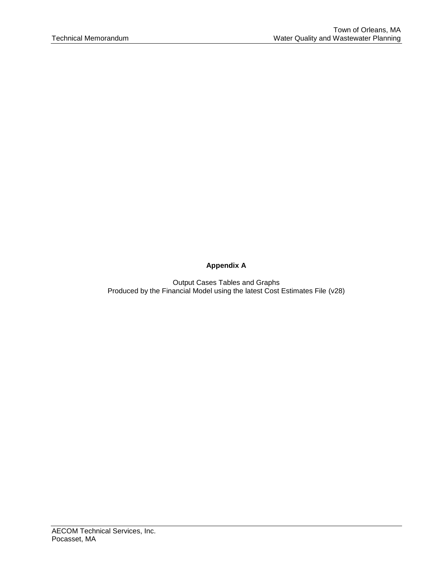# **Appendix A**

Output Cases Tables and Graphs Produced by the Financial Model using the latest Cost Estimates File (v28)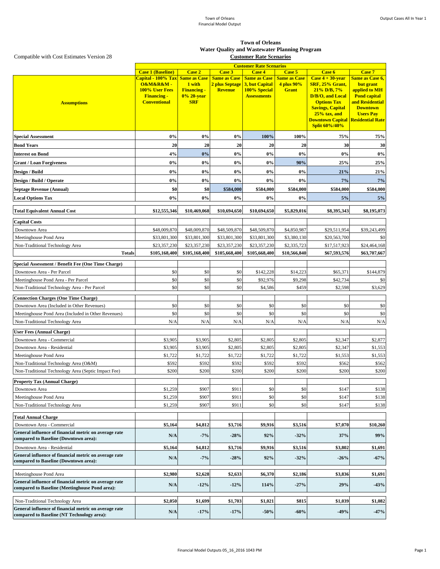|                                                                                                     | <b>Customer Rate Scenarios</b>                                 |                    |                                       |                                       |                               |                                               |                                     |
|-----------------------------------------------------------------------------------------------------|----------------------------------------------------------------|--------------------|---------------------------------------|---------------------------------------|-------------------------------|-----------------------------------------------|-------------------------------------|
|                                                                                                     | <b>Case 1 (Baseline)</b>                                       | <b>Case 2</b>      | <b>Case 3</b>                         | <b>Case 4</b>                         | Case 5<br><b>Same as Case</b> | <b>Case 6</b>                                 | <b>Case 7</b>                       |
|                                                                                                     | Capital - 100% Tax Same as Case<br><b>O&amp;M&amp;R&amp;M-</b> | 1 with             | <b>Same as Case</b><br>2 plus Septage | <b>Same as Case</b><br>3, but Capital | 4 plus 90%                    | Case $4 + 30$ -year<br><b>SRF, 25% Grant,</b> | <b>Same as Case 6,</b><br>but grant |
|                                                                                                     | <b>100% User Fees</b>                                          | <b>Financing -</b> | <b>Revenue</b>                        | 100% Special                          | <b>Grant</b>                  | $21\%$ D/B, $7\%$                             | applied to MH                       |
|                                                                                                     | <b>Financing -</b>                                             | 0% 20-year         |                                       | <b>Assessments</b>                    |                               | D/B/O, and Local                              | <b>Pond capital</b>                 |
| <b>Assumptions</b>                                                                                  | <b>Conventional</b>                                            | <b>SRF</b>         |                                       |                                       |                               | <b>Options Tax</b>                            | and Residential                     |
|                                                                                                     |                                                                |                    |                                       |                                       |                               | <b>Savings, Capital</b><br>$25%$ tax, and     | <b>Downtown</b><br><b>Users Pay</b> |
|                                                                                                     |                                                                |                    |                                       |                                       |                               | <b>Downtown Capital Residential Rate</b>      |                                     |
|                                                                                                     |                                                                |                    |                                       |                                       |                               | <b>Split 60%/40%</b>                          |                                     |
| <b>Special Assessment</b>                                                                           | 0%                                                             | 0%                 | 0%                                    | 100%                                  | 100%                          | 75%                                           | 75%                                 |
| <b>Bond Years</b>                                                                                   | 20                                                             | 20                 | 20                                    | 20                                    | 20                            | 30                                            | 30                                  |
| <b>Interest on Bond</b>                                                                             | 4%                                                             | 0%                 | $0\%$                                 | 0%                                    | $0\%$                         | 0%                                            | $0\%$                               |
| <b>Grant / Loan Forgiveness</b>                                                                     | $0\%$                                                          | $0\%$              | $0\%$                                 | $0\%$                                 | 90%                           | 25%                                           | 25%                                 |
| <b>Design / Build</b>                                                                               | $0\%$                                                          | 0%                 | $0\%$                                 | 0%                                    | $0\%$                         | 21%                                           | 21%                                 |
| <b>Design / Build / Operate</b>                                                                     | 0%                                                             | $0\%$              | $0\%$                                 | 0%                                    | $0\%$                         | 7%                                            | 7%                                  |
| <b>Septage Revenue (Annual)</b>                                                                     | \$0                                                            | \$0                | \$584,000                             | \$584,000                             | \$584,000                     | \$584,000                                     | \$584,000                           |
| <b>Local Options Tax</b>                                                                            | $0\%$                                                          | 0%                 | $0\%$                                 | 0%                                    | $ 0\% $                       | 5%                                            | 5%                                  |
| <b>Total Equivalent Annual Cost</b>                                                                 | \$12,555,346                                                   | \$10,469,068       | \$10,694,650                          | \$10,694,650                          | \$5,829,016                   | \$8,395,343                                   | \$8,195,073                         |
| <b>Capital Costs</b>                                                                                |                                                                |                    |                                       |                                       |                               |                                               |                                     |
| Downtown Area                                                                                       | \$48,009,870                                                   | \$48,009,870       | \$48,509,870                          | \$48,509,870                          | \$4,850,987                   | \$29,511,954                                  | \$39,243,499                        |
| Meetinghouse Pond Area                                                                              | \$33,801,300                                                   | \$33,801,300       | \$33,801,300                          | \$33,801,300                          | \$3,380,130                   | \$20,563,700                                  | \$0                                 |
| Non-Traditional Technology Area                                                                     | \$23,357,230                                                   | \$23,357,230       | \$23,357,230                          | \$23,357,230                          | \$2,335,723                   | \$17,517,923                                  | \$24,464,168                        |
| <b>Totals</b>                                                                                       | \$105,168,400                                                  | \$105,168,400      | \$105,668,400                         | \$105,668,400                         | \$10,566,840                  | \$67,593,576                                  | \$63,707,667                        |
| <b>Special Assessment / Benefit Fee (One Time Charge)</b>                                           |                                                                |                    |                                       |                                       |                               |                                               |                                     |
| Downtown Area - Per Parcel                                                                          | \$0                                                            | \$0                | \$0                                   | \$142,228                             | \$14,223                      | \$65,371                                      | \$144,879                           |
| Meetinghouse Pond Area - Per Parcel<br>Non-Traditional Technology Area - Per Parcel                 | \$0<br>\$0                                                     | \$0<br>\$0         | \$0<br>\$0                            | \$92,976<br>\$4,586                   | \$9,298<br>\$459              | \$42,734<br>\$2,598                           | \$0<br>\$3,629                      |
|                                                                                                     |                                                                |                    |                                       |                                       |                               |                                               |                                     |
| <b>Connection Charges (One Time Charge)</b><br>Downtown Area (Included in Other Revenues)           | \$0                                                            | \$0                | \$0                                   | \$0                                   | \$0                           | \$0                                           | \$0                                 |
| Meetinghouse Pond Area (Included in Other Revenues)                                                 | \$0                                                            | \$0                | \$0                                   | \$0                                   | \$0                           | \$0                                           | \$0                                 |
| Non-Traditional Technology Area                                                                     | N/A                                                            | N/A                | N/A                                   | N/A                                   | N/A                           | N/A                                           | N/A                                 |
|                                                                                                     |                                                                |                    |                                       |                                       |                               |                                               |                                     |
| <b>User Fees (Annual Charge)</b><br>Downtown Area - Commercial                                      | \$3,905                                                        | \$3,905            |                                       | \$2,805                               | \$2,805                       | \$2,347                                       |                                     |
| Downtown Area - Residential                                                                         | \$3,905                                                        | \$3,905            | \$2,805<br>\$2,805                    | \$2,805                               | \$2,805                       | \$2,347                                       | \$2,877<br>\$1,553                  |
| Meetinghouse Pond Area                                                                              | \$1,722                                                        | \$1,722            | \$1,722                               | \$1,722                               | \$1,722                       | \$1,553                                       | \$1,553                             |
| Non-Traditional Technology Area (O&M)                                                               | \$592                                                          | \$592              | \$592                                 | \$592                                 | \$592                         | \$562                                         | \$562                               |
| Non-Traditional Technology Area (Septic Impact Fee)                                                 | \$200                                                          | \$200              | \$200                                 | \$200                                 | \$200                         | \$200                                         | \$200                               |
| <b>Property Tax (Annual Charge)</b>                                                                 |                                                                |                    |                                       |                                       |                               |                                               |                                     |
| Downtown Area                                                                                       | \$1,259                                                        | \$907              | \$911                                 | \$0                                   | \$0                           | \$147                                         | \$138                               |
| Meetinghouse Pond Area                                                                              | \$1,259                                                        | \$907              | \$911                                 | \$0                                   | \$0                           | \$147                                         | \$138                               |
| Non-Traditional Technology Area                                                                     | \$1,259                                                        | \$907              | \$911                                 | \$0                                   | \$0                           | \$147                                         | \$138                               |
| <b>Total Annual Charge</b>                                                                          |                                                                |                    |                                       |                                       |                               |                                               |                                     |
| Downtown Area - Commercial                                                                          | \$5,164                                                        | \$4,812            | \$3,716                               | \$9,916                               | \$3,516                       | \$7,070                                       | \$10,260                            |
| General influence of financial metric on average rate                                               | N/A                                                            | $-7%$              | $-28%$                                | 92%                                   | $-32%$                        | 37%                                           | 99%                                 |
| compared to Baseline (Downtown area):                                                               |                                                                |                    |                                       |                                       |                               |                                               |                                     |
| Downtown Area - Residential<br>General influence of financial metric on average rate                | \$5,164                                                        | \$4,812            | \$3,716                               | \$9,916                               | \$3,516                       | \$3,802                                       | \$1,691                             |
| compared to Baseline (Downtown area):                                                               | N/A                                                            | $-7%$              | $-28%$                                | 92%                                   | $-32%$                        | $-26%$                                        | $-67%$                              |
| Meetinghouse Pond Area                                                                              | \$2,980                                                        | \$2,628            | \$2,633                               | \$6,370                               | \$2,186                       | \$3,836                                       | \$1,691                             |
| General influence of financial metric on average rate                                               | N/A                                                            | $-12%$             | $-12%$                                | 114%                                  | $-27%$                        | 29%                                           | $-43%$                              |
| compared to Baseline (Meetinghouse Pond area):                                                      |                                                                |                    |                                       |                                       |                               |                                               |                                     |
| Non-Traditional Technology Area                                                                     | \$2,050                                                        | \$1,699            | \$1,703                               | \$1,021                               | \$815                         | \$1,039                                       | \$1,082                             |
| General influence of financial metric on average rate<br>compared to Baseline (NT Technology area): | N/A                                                            | $-17%$             | $-17%$                                | $-50%$                                | $-60%$                        | $-49%$                                        | $-47%$                              |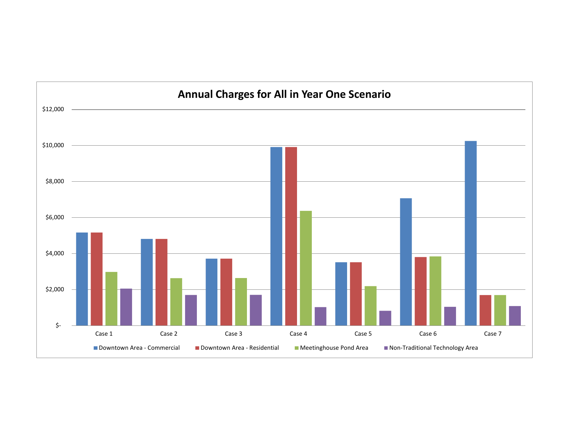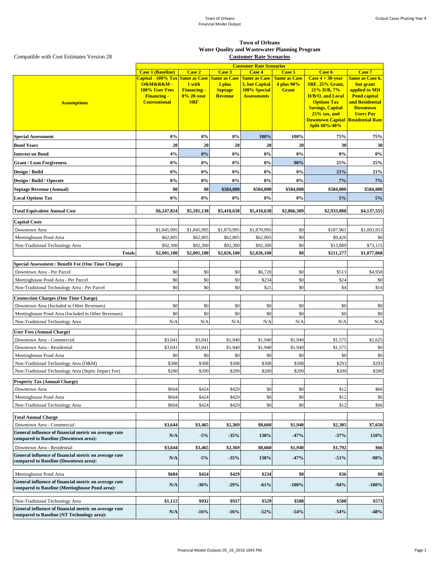|                                                                                                         | <b>Customer Rate Scenarios</b>              |                    |                               |                                       |                                   |                                                                  |                                     |
|---------------------------------------------------------------------------------------------------------|---------------------------------------------|--------------------|-------------------------------|---------------------------------------|-----------------------------------|------------------------------------------------------------------|-------------------------------------|
|                                                                                                         | <b>Case 1 (Baseline)</b>                    | <b>Case 2</b>      | <b>Case 3</b>                 | <b>Case 4</b>                         | Case 5                            | Case 6                                                           | Case 7                              |
|                                                                                                         | Capital - 100% Tax Same as Case<br>O&M&R&M- | 1 with             | <b>Same as Case</b><br>2 plus | <b>Same as Case</b><br>3, but Capital | <b>Same as Case</b><br>4 plus 90% | Case $4 + 30$ -year<br><b>SRF, 25% Grant,</b>                    | <b>Same as Case 6,</b><br>but grant |
|                                                                                                         | 100% User Fees                              | <b>Financing -</b> | <b>Septage</b>                | 100% Special                          | <b>Grant</b>                      | $21\%$ D/B, $7\%$                                                | applied to MH                       |
|                                                                                                         | <b>Financing -</b>                          | 0% 20-year         | <b>Revenue</b>                | <b>Assessments</b>                    |                                   | D/B/O, and Local                                                 | <b>Pond capital</b>                 |
| <b>Assumptions</b>                                                                                      | <b>Conventional</b>                         | <b>SRF</b>         |                               |                                       |                                   | <b>Options Tax</b><br><b>Savings, Capital</b>                    | and Residential<br><b>Downtown</b>  |
|                                                                                                         |                                             |                    |                               |                                       |                                   | $25%$ tax, and                                                   | <b>Users Pay</b>                    |
|                                                                                                         |                                             |                    |                               |                                       |                                   | <b>Downtown Capital Residential Rate</b><br><b>Split 60%/40%</b> |                                     |
| <b>Special Assessment</b>                                                                               | $0\%$                                       | $0\%$              | $0\%$                         | 100%                                  | 100%                              | 75%                                                              | 75%                                 |
| <b>Bond Years</b>                                                                                       | 20                                          | 20                 | 20                            | 20                                    | 20                                | 30                                                               | 30                                  |
| <b>Interest on Bond</b>                                                                                 | 4%                                          | 0%                 | $0\%$                         | $0\%$                                 | 0%                                | $0\%$                                                            | $0\%$                               |
| <b>Grant / Loan Forgiveness</b>                                                                         | $0\%$                                       | $0\%$              | $0\%$                         | $0\%$                                 | 90%                               | 25%                                                              | 25%                                 |
| <b>Design / Build</b>                                                                                   | $0\%$                                       | 0%                 | $0\%$                         | 0%                                    | 0%                                | 21%                                                              | 21%                                 |
| <b>Design / Build / Operate</b>                                                                         | $0\%$                                       | 0%                 | $0\%$                         | 0%                                    | 0%                                | 7%                                                               | 7%                                  |
| <b>Septage Revenue (Annual)</b>                                                                         | \$0                                         | <b>\$0</b>         | \$584,000                     | \$584,000                             | \$584,000                         | \$584,000                                                        | \$584,000                           |
| <b>Local Options Tax</b>                                                                                | $0\%$                                       | $0\%$              | $0\%$                         | $0\%$                                 | $0\%$                             | 5%                                                               | 5%                                  |
|                                                                                                         |                                             |                    |                               |                                       |                                   |                                                                  |                                     |
| <b>Total Equivalent Annual Cost</b>                                                                     | \$6,247,824                                 | \$5,181,138        | \$5,410,638                   | \$5,410,638                           | \$2,866,389                       | \$2,933,888                                                      | \$4,137,555                         |
| <b>Capital Costs</b>                                                                                    |                                             |                    |                               |                                       |                                   |                                                                  |                                     |
| Downtown Area                                                                                           | \$1,845,995                                 | \$1,845,995        | \$1,870,995                   | \$1,870,995                           | \$0                               | \$187,961                                                        | \$1,003,953                         |
| Meetinghouse Pond Area                                                                                  | \$62,805                                    | \$62,805           | \$62,805                      | \$62,805                              | \$0                               | \$9,426                                                          | \$0                                 |
| Non-Traditional Technology Area                                                                         | \$92,300                                    | \$92,300           | \$92,300                      | \$92,300                              | \$0                               | \$13,889                                                         | \$73,115                            |
| <b>Totals</b>                                                                                           | \$2,001,100                                 | \$2,001,100        | \$2,026,100                   | \$2,026,100                           | \$0                               | \$211,277                                                        | \$1,077,068                         |
| Special Assessment / Benefit Fee (One Time Charge)                                                      |                                             |                    |                               |                                       |                                   |                                                                  |                                     |
| Downtown Area - Per Parcel                                                                              | \$0                                         | \$0                | \$0                           | \$6,720                               | \$0                               | \$513                                                            | \$4,958                             |
| Meetinghouse Pond Area - Per Parcel                                                                     | \$0                                         | \$0                | \$0                           | \$234                                 | \$0                               | \$24                                                             | \$0                                 |
| Non-Traditional Technology Area - Per Parcel                                                            | \$0                                         | \$0                | \$0                           | \$21                                  | \$0                               | \$4                                                              | \$14                                |
| <b>Connection Charges (One Time Charge)</b>                                                             |                                             |                    |                               |                                       |                                   |                                                                  |                                     |
| Downtown Area (Included in Other Revenues)                                                              | \$0                                         | \$0                | \$0                           | \$0                                   | \$0                               | \$0                                                              | \$0                                 |
| Meetinghouse Pond Area (Included in Other Revenues)                                                     | \$0                                         | \$0                | \$0                           | \$0                                   | \$0                               | \$0                                                              | \$0                                 |
| Non-Traditional Technology Area                                                                         | N/A                                         | N/A                | N/A                           | N/A                                   | N/A                               | N/A                                                              | N/A                                 |
| <b>User Fees (Annual Charge)</b>                                                                        |                                             |                    |                               |                                       |                                   |                                                                  |                                     |
| Downtown Area - Commercial                                                                              | \$3,041                                     | \$3,041            | \$1,940                       | \$1,940                               | \$1,940                           | \$1,575                                                          | \$2,625                             |
| Downtown Area - Residential                                                                             | \$3,041                                     | \$3,041            | \$1,940                       | \$1,940                               | \$1,940                           | \$1,575                                                          | \$0                                 |
| Meetinghouse Pond Area                                                                                  | \$0                                         | \$0                | \$0                           | \$0                                   | \$0                               | \$0                                                              | \$0                                 |
| Non-Traditional Technology Area (O&M)                                                                   | \$308                                       | \$308              | \$308                         | \$308                                 | \$308                             | \$293                                                            | \$293                               |
| Non-Traditional Technology Area (Septic Impact Fee)                                                     | \$200                                       | \$200              | \$200                         | \$200                                 | \$200                             | \$200                                                            | \$200                               |
| <b>Property Tax (Annual Charge)</b>                                                                     |                                             |                    |                               |                                       |                                   |                                                                  |                                     |
| Downtown Area                                                                                           | \$604                                       | \$424              | \$429                         | \$0                                   | \$0                               | \$12                                                             | \$66                                |
| Meetinghouse Pond Area                                                                                  | \$604                                       | \$424              | \$429                         | \$0                                   | \$0                               | \$12                                                             | \$0                                 |
| Non-Traditional Technology Area                                                                         | \$604                                       | \$424              | \$429                         | \$0                                   | \$0                               | \$12                                                             | \$66                                |
| <b>Total Annual Charge</b>                                                                              |                                             |                    |                               |                                       |                                   |                                                                  |                                     |
| Downtown Area - Commercial                                                                              | \$3,644                                     | \$3,465            | \$2,369                       | \$8,660                               | \$1,940                           | \$2,305                                                          | \$7,650                             |
| General influence of financial metric on average rate<br>compared to Baseline (Downtown area):          | N/A                                         | $-5%$              | $-35%$                        | 138%                                  | $-47%$                            | $-37%$                                                           | 110%                                |
| Downtown Area - Residential                                                                             | \$3,644                                     | \$3,465            | \$2,369                       | \$8,660                               | \$1,940                           | \$1,792                                                          | \$66                                |
| General influence of financial metric on average rate<br>compared to Baseline (Downtown area):          | N/A                                         | $-5%$              | $-35%$                        | 138%                                  | $-47%$                            | $-51%$                                                           | $-98%$                              |
|                                                                                                         |                                             |                    |                               |                                       |                                   |                                                                  |                                     |
| Meetinghouse Pond Area                                                                                  | \$604                                       | \$424              | \$429                         | \$234                                 | \$0                               | \$36                                                             | \$0                                 |
| General influence of financial metric on average rate<br>compared to Baseline (Meetinghouse Pond area): | N/A                                         | $-30%$             | $-29%$                        | $-61%$                                | $-100%$                           | $-94%$                                                           | $-100%$                             |
|                                                                                                         | \$1,112                                     | \$932              | \$937                         | \$529                                 | \$508                             | \$508                                                            | \$573                               |
| Non-Traditional Technology Area<br>General influence of financial metric on average rate                |                                             |                    |                               |                                       |                                   |                                                                  |                                     |
| compared to Baseline (NT Technology area):                                                              | N/A                                         | $-16%$             | $-16%$                        | $-52%$                                | $-54%$                            | $-54%$                                                           | $-48%$                              |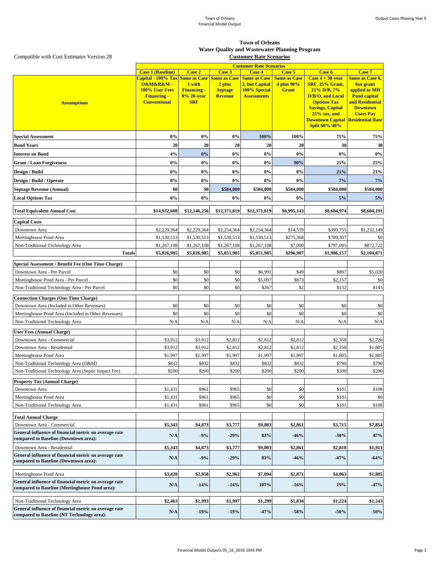|                                                                                                     | <b>Customer Rate Scenarios</b>  |                              |                          |                                |                            |                                                            |                            |
|-----------------------------------------------------------------------------------------------------|---------------------------------|------------------------------|--------------------------|--------------------------------|----------------------------|------------------------------------------------------------|----------------------------|
|                                                                                                     | <b>Case 1 (Baseline)</b>        | <b>Case 2</b>                | <b>Case 3</b>            | <b>Case 4</b>                  | Case 5                     | <b>Case 6</b>                                              | <b>Case 7</b>              |
|                                                                                                     | Capital - 100% Tax Same as Case |                              | <b>Same as Case</b>      | <b>Same as Case</b>            | <b>Same as Case</b>        | Case $4 + 30$ -year                                        | <b>Same as Case 6,</b>     |
|                                                                                                     | O&M&R&M-<br>100% User Fees      | 1 with<br><b>Financing -</b> | 2 plus<br><b>Septage</b> | 3, but Capital<br>100% Special | 4 plus 90%<br><b>Grant</b> | SRF, 25% Grant,<br>$21\%$ D/B, $7\%$                       | but grant<br>applied to MH |
|                                                                                                     | <b>Financing -</b>              | 0% 20-year                   | <b>Revenue</b>           | <b>Assessments</b>             |                            | D/B/O, and Local                                           | <b>Pond capital</b>        |
| <b>Assumptions</b>                                                                                  | <b>Conventional</b>             | <b>SRF</b>                   |                          |                                |                            | <b>Options Tax</b>                                         | and Residential            |
|                                                                                                     |                                 |                              |                          |                                |                            | <b>Savings, Capital</b>                                    | <b>Downtown</b>            |
|                                                                                                     |                                 |                              |                          |                                |                            | $25%$ tax, and<br><b>Downtown Capital Residential Rate</b> | <b>Users Pay</b>           |
|                                                                                                     |                                 |                              |                          |                                |                            | <b>Split 60%/40%</b>                                       |                            |
| <b>Special Assessment</b>                                                                           | 0%                              | 0%                           | $0\%$                    | 100%                           | 100%                       | 75%                                                        | 75%                        |
| <b>Bond Years</b>                                                                                   | 20                              | 20                           | 20                       | 20                             | 20                         | 30                                                         | 30                         |
| <b>Interest on Bond</b>                                                                             | 4%                              | 0%                           | 0%                       | 0%                             | 0%                         | $0\%$                                                      | $0\%$                      |
| <b>Grant / Loan Forgiveness</b>                                                                     | $0\%$                           | 0%                           | 0%                       | $0\%$                          | 90%                        | 25%                                                        | 25%                        |
| Design / Build                                                                                      | 0%                              | 0%                           | 0%                       | 0%                             | $0\%$                      | 21%                                                        | 21%                        |
| Design / Build / Operate                                                                            | 0%                              | 0%                           | 0%                       | 0%                             | 0%                         | 7%                                                         | 7%                         |
| <b>Septage Revenue (Annual)</b>                                                                     | \$0                             | \$0                          | \$584,000                | \$584,000                      | \$584,000                  | \$584,000                                                  | \$584,000                  |
| <b>Local Options Tax</b>                                                                            | $0\%$                           | $0\%$                        | $0\%$                    | $0\%$                          | 0%                         | 5%                                                         | 5%                         |
| <b>Total Equivalent Annual Cost</b>                                                                 | \$14,932,608                    | \$12,146,256                 | \$12,371,819             | \$12,371,819                   | \$6,995,143                | \$8,604,974                                                | \$8,604,191                |
| <b>Capital Costs</b>                                                                                |                                 |                              |                          |                                |                            |                                                            |                            |
| Downtown Area                                                                                       | \$2,229,364                     | \$2,229,364                  | \$2,254,364              | \$2,254,364                    | \$14,539                   | \$399,755                                                  | \$1,232,149                |
| Meetinghouse Pond Area                                                                              | \$1,530,513                     | \$1,530,513                  | \$1,530,513              | \$1,530,513                    | \$275,368                  | \$789,307                                                  | \$0                        |
| Non-Traditional Technology Area                                                                     | \$1,267,108                     | \$1,267,108                  | \$1,267,108              | \$1,267,108                    | \$7,000                    | \$797,095                                                  | \$872,722                  |
| <b>Totals</b>                                                                                       | \$5,026,985                     | \$5,026,985                  | \$5,051,985              | \$5,051,985                    | \$296,907                  | \$1,986,157                                                | \$2,104,871                |
| <b>Special Assessment / Benefit Fee (One Time Charge)</b>                                           |                                 |                              |                          |                                |                            |                                                            |                            |
| Downtown Area - Per Parcel                                                                          | \$0                             | \$0                          | \$0                      | \$6,991                        | \$49                       | \$897                                                      | \$5,020                    |
| Meetinghouse Pond Area - Per Parcel                                                                 | \$0                             | \$0                          | \$0                      | \$5,097                        | \$873                      | \$2,157                                                    | \$0                        |
| Non-Traditional Technology Area - Per Parcel                                                        | \$0                             | \$0                          | \$0                      | \$267                          | \$2                        | \$132                                                      | \$145                      |
| <b>Connection Charges (One Time Charge)</b>                                                         |                                 |                              |                          |                                |                            |                                                            |                            |
| Downtown Area (Included in Other Revenues)                                                          | \$0                             | \$0                          | \$0                      | \$0                            | \$0                        | \$0                                                        | \$0                        |
| Meetinghouse Pond Area (Included in Other Revenues)                                                 | \$0                             | \$0                          | \$0                      | \$0                            | \$0                        | \$0                                                        | \$0                        |
| Non-Traditional Technology Area                                                                     | N/A                             | N/A                          | N/A                      | N/A                            | N/A                        | N/A                                                        | N/A                        |
| <b>User Fees (Annual Charge)</b>                                                                    |                                 |                              |                          |                                |                            |                                                            |                            |
| Downtown Area - Commercial                                                                          | \$3,912                         | \$3,912                      | \$2,812                  | \$2,812                        | \$2,812                    | \$2,358                                                    | \$2,726                    |
| Downtown Area - Residential                                                                         | \$3,912                         | \$3,912                      | \$2,812                  | \$2,812                        | \$2,812                    | \$2,358                                                    | \$1,805                    |
| Meetinghouse Pond Area                                                                              | \$1,997                         | \$1,997                      | \$1,997                  | \$1,997                        | \$1,997                    | \$1,805                                                    | \$1,805                    |
| Non-Traditional Technology Area (O&M)                                                               | \$832                           | \$832                        | \$832                    | \$832                          | \$832                      | \$790                                                      | \$790                      |
| Non-Traditional Technology Area (Septic Impact Fee)                                                 | \$200                           | \$200                        | \$200                    | \$200                          | \$200                      | \$200                                                      | \$200                      |
| <b>Property Tax (Annual Charge)</b>                                                                 |                                 |                              |                          |                                |                            |                                                            |                            |
| Downtown Area                                                                                       | \$1,431                         | \$961                        | \$965                    | \$0                            | \$0                        | \$101                                                      | \$108                      |
| Meetinghouse Pond Area                                                                              | \$1,431                         | \$961                        | \$965                    | \$0                            | \$0                        | \$101                                                      | \$0                        |
| Non-Traditional Technology Area                                                                     | \$1,431                         | \$961                        | \$965                    | \$0                            | \$0                        | \$101                                                      | \$108                      |
| <b>Total Annual Charge</b>                                                                          |                                 |                              |                          |                                |                            |                                                            |                            |
| Downtown Area - Commercial                                                                          | \$5,343                         | \$4,873                      | \$3,777                  | \$9,803                        | \$2,861                    | \$3,715                                                    | \$7,854                    |
| General influence of financial metric on average rate<br>compared to Baseline (Downtown area):      | N/A                             | $-9%$                        | $-29%$                   | 83%                            | $-46%$                     | $-30%$                                                     | 47%                        |
| Downtown Area - Residential                                                                         | \$5,343                         | \$4,873                      | \$3,777                  | \$9,803                        | \$2,861                    | \$2,818                                                    | \$1,913                    |
| General influence of financial metric on average rate<br>compared to Baseline (Downtown area):      | N/A                             | $-9%$                        | $-29%$                   | 83%                            | $-46%$                     | $-47%$                                                     | $-64%$                     |
| Meetinghouse Pond Area                                                                              | \$3,428                         | \$2,958                      | \$2,962                  | \$7,094                        | \$2,871                    | \$4,063                                                    | \$1,805                    |
| General influence of financial metric on average rate                                               | N/A                             | $-14%$                       | $-14%$                   | 107%                           | $-16%$                     | 19%                                                        | $-47%$                     |
| compared to Baseline (Meetinghouse Pond area):                                                      |                                 |                              |                          |                                |                            |                                                            |                            |
| Non-Traditional Technology Area                                                                     | \$2,463                         | \$1,993                      | \$1,997                  | \$1,299                        | \$1,034                    | \$1,224                                                    | \$1,243                    |
| General influence of financial metric on average rate<br>compared to Baseline (NT Technology area): | N/A                             | $-19%$                       | $-19%$                   | $-47%$                         | $-58%$                     | $-50%$                                                     | $-50%$                     |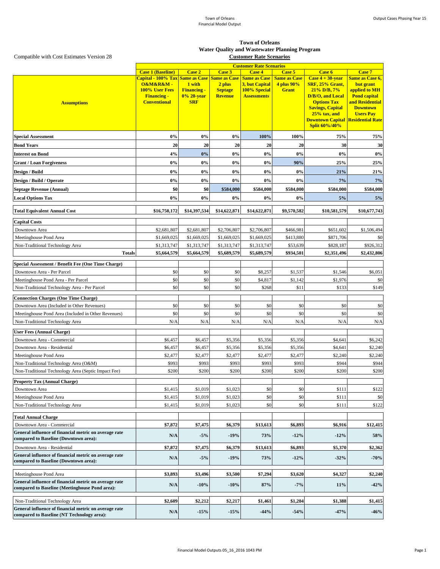| <b>Case 1 (Baseline)</b><br><b>Case 3</b><br><b>Case 4</b><br><b>Case 7</b><br><b>Case 2</b><br>Case 5<br>Case 6<br>Capital - 100% Tax Same as Case<br><b>Same as Case</b><br><b>Same as Case</b><br><b>Same as Case</b><br>Case $4 + 30$ -year<br><b>Same as Case 6,</b><br>O&M&R&M-<br>1 with<br>4 plus 90%<br>SRF, 25% Grant,<br>2 plus<br>3, but Capital<br>but grant<br><b>100% User Fees</b><br><b>Grant</b><br><b>Financing -</b><br><b>Septage</b><br>100% Special<br>$21\%$ D/B, $7\%$<br>applied to MH<br>0% 20-year<br>D/B/O, and Local<br><b>Financing -</b><br><b>Revenue</b><br><b>Assessments</b><br><b>Pond capital</b><br><b>Conventional</b><br><b>Options Tax</b><br>and Residential<br><b>SRF</b><br><b>Assumptions</b><br><b>Savings, Capital</b><br><b>Downtown</b><br>$25%$ tax, and<br><b>Users Pay</b><br><b>Downtown Capital Residential Rate</b><br><b>Split 60%/40%</b><br>75%<br>0%<br>0%<br>$0\%$<br>100%<br>75%<br>100%<br><b>Special Assessment</b><br>20<br>20<br>20<br>20<br>30<br>30<br><b>Bond Years</b><br>20<br>0%<br>4%<br>0%<br>0%<br>$0\%$<br>$0\%$<br><b>Interest on Bond</b><br>$0\%$<br>90%<br>25%<br>25%<br>0%<br>0%<br>0%<br>$0\%$<br><b>Grant / Loan Forgiveness</b><br>0%<br>0%<br>0%<br>0%<br>0%<br>21%<br>21%<br><b>Design / Build</b><br>0%<br>0%<br>0%<br>$0\%$<br>$0\%$<br>7%<br>7%<br>Design / Build / Operate<br>\$0<br>\$0<br>\$584,000<br>\$584,000<br>\$584,000<br>\$584,000<br>\$584,000<br><b>Septage Revenue (Annual)</b><br>0%<br>$0\%$<br>$0\%$<br>$0\%$<br>$0\%$<br>5%<br>5%<br><b>Local Options Tax</b><br>\$16,750,172<br>\$14,397,534<br>\$14,622,871<br>\$14,622,871<br>\$9,570,582<br>\$10,581,579<br>\$10,677,743<br><b>Total Equivalent Annual Cost</b><br><b>Capital Costs</b><br>\$1,506,494<br>\$2,681,807<br>\$2,681,807<br>\$2,706,807<br>\$2,706,807<br>\$466,981<br>\$651,602<br>Downtown Area<br>\$0<br>Meetinghouse Pond Area<br>\$1,669,025<br>\$1,669,025<br>\$1,669,025<br>\$1,669,025<br>\$413,880<br>\$871,706<br>\$1,313,747<br>\$1,313,747<br>\$1,313,747<br>\$53,639<br>\$828,187<br>\$1,313,747<br>Non-Traditional Technology Area<br>\$926,312<br><b>Totals</b><br>\$5,689,579<br>\$5,689,579<br>\$934,501<br>\$2,351,496<br>\$5,664,579<br>\$5,664,579<br><b>Special Assessment / Benefit Fee (One Time Charge)</b><br>\$0<br>\$0<br>\$0<br>\$1,537<br>Downtown Area - Per Parcel<br>\$8,257<br>\$1,546<br>\$6,051<br>\$0<br>\$0<br>\$0<br>\$1,142<br>\$1,976<br>Meetinghouse Pond Area - Per Parcel<br>\$4,817<br>\$0<br>\$0<br>\$0<br>\$149<br>\$0<br>\$268<br>\$11<br>\$133<br>Non-Traditional Technology Area - Per Parcel<br><b>Connection Charges (One Time Charge)</b><br>\$0<br>\$0<br>\$0<br>\$0<br>\$0<br>Downtown Area (Included in Other Revenues)<br>\$0<br>\$0<br>\$0<br>\$0<br>\$0<br>\$0<br>\$0<br>\$0<br>\$0<br>Meetinghouse Pond Area (Included in Other Revenues)<br>N/A<br>N/A<br>N/A<br>N/A<br>N/A<br>N/A<br>N/A<br>Non-Traditional Technology Area<br><b>User Fees (Annual Charge)</b><br>Downtown Area - Commercial<br>\$6,457<br>\$6,457<br>\$5,356<br>\$5,356<br>\$5,356<br>\$4,641<br>\$6,242<br>Downtown Area - Residential<br>\$5,356<br>\$4,641<br>\$2,240<br>\$6,457<br>\$6,457<br>\$5,356<br>\$5,356<br>Meetinghouse Pond Area<br>\$2,477<br>\$2,477<br>\$2,240<br>\$2,240<br>\$2,477<br>\$2,477<br>\$2,477<br>\$993<br>Non-Traditional Technology Area (O&M)<br>\$993<br>\$993<br>\$993<br>\$993<br>\$944<br>\$944<br>\$200<br>\$200<br>Non-Traditional Technology Area (Septic Impact Fee)<br>\$200<br>\$200<br>\$200<br>\$200<br>\$200<br><b>Property Tax (Annual Charge)</b><br>\$0<br>\$0<br>\$111<br>\$122<br>\$1,415<br>\$1,019<br>\$1,023<br>Downtown Area<br>\$0<br>\$0<br>\$111<br>Meetinghouse Pond Area<br>\$1,415<br>\$1,019<br>\$1,023<br>\$0<br>\$0<br>\$0<br>\$122<br>Non-Traditional Technology Area<br>\$1,415<br>\$1,019<br>\$1,023<br>\$111<br><b>Total Annual Charge</b><br>\$6,379<br>\$7,872<br>\$7,475<br>\$13,613<br>\$6,893<br>\$6,916<br>\$12,415<br>Downtown Area - Commercial<br>General influence of financial metric on average rate<br>N/A<br>$-5\%$<br>$-19%$<br>73%<br>$-12%$<br>$-12%$<br>58%<br>compared to Baseline (Downtown area):<br>Downtown Area - Residential<br>\$7,872<br>\$7,475<br>\$6,379<br>\$13,613<br>\$6,893<br>\$5,370<br>\$2,362<br>General influence of financial metric on average rate<br>73%<br>N/A<br>$-5%$<br>$-19%$<br>$-12%$<br>$-32%$<br>$-70%$<br>compared to Baseline (Downtown area):<br>\$3,893<br>\$7,294<br>\$4,327<br>\$2,240<br>\$3,496<br>\$3,500<br>\$3,620<br>Meetinghouse Pond Area<br>General influence of financial metric on average rate<br>N/A<br>87%<br>$-7%$<br>$-10%$<br>$-10%$<br>11%<br>$-42%$<br>compared to Baseline (Meetinghouse Pond area):<br>\$1,388<br>\$2,609<br>\$2,212<br>\$2,217<br>\$1,461<br>\$1,204<br>\$1,415<br>Non-Traditional Technology Area<br>General influence of financial metric on average rate<br>N/A<br>$-15%$<br>$-15%$<br>$-44%$<br>$-54%$<br>$-47%$<br>$-46%$ |                                            | <b>Customer Rate Scenarios</b> |  |  |  |  |  |             |
|-------------------------------------------------------------------------------------------------------------------------------------------------------------------------------------------------------------------------------------------------------------------------------------------------------------------------------------------------------------------------------------------------------------------------------------------------------------------------------------------------------------------------------------------------------------------------------------------------------------------------------------------------------------------------------------------------------------------------------------------------------------------------------------------------------------------------------------------------------------------------------------------------------------------------------------------------------------------------------------------------------------------------------------------------------------------------------------------------------------------------------------------------------------------------------------------------------------------------------------------------------------------------------------------------------------------------------------------------------------------------------------------------------------------------------------------------------------------------------------------------------------------------------------------------------------------------------------------------------------------------------------------------------------------------------------------------------------------------------------------------------------------------------------------------------------------------------------------------------------------------------------------------------------------------------------------------------------------------------------------------------------------------------------------------------------------------------------------------------------------------------------------------------------------------------------------------------------------------------------------------------------------------------------------------------------------------------------------------------------------------------------------------------------------------------------------------------------------------------------------------------------------------------------------------------------------------------------------------------------------------------------------------------------------------------------------------------------------------------------------------------------------------------------------------------------------------------------------------------------------------------------------------------------------------------------------------------------------------------------------------------------------------------------------------------------------------------------------------------------------------------------------------------------------------------------------------------------------------------------------------------------------------------------------------------------------------------------------------------------------------------------------------------------------------------------------------------------------------------------------------------------------------------------------------------------------------------------------------------------------------------------------------------------------------------------------------------------------------------------------------------------------------------------------------------------------------------------------------------------------------------------------------------------------------------------------------------------------------------------------------------------------------------------------------------------------------------------------------------------------------------------------------------------------------------------------------------------------------------------------------------------------------------------------------------------------------------------------------------------------------------------------------------------------------------------------------------------------------------------------------------------------------------------------------------------------------------------------------------------------------------------------------------------------------------------------------------------------------------------------------------------------------------------------------------------------------------------------------------------------------------------------------------------------------------------------------------------------------------------------------------------|--------------------------------------------|--------------------------------|--|--|--|--|--|-------------|
|                                                                                                                                                                                                                                                                                                                                                                                                                                                                                                                                                                                                                                                                                                                                                                                                                                                                                                                                                                                                                                                                                                                                                                                                                                                                                                                                                                                                                                                                                                                                                                                                                                                                                                                                                                                                                                                                                                                                                                                                                                                                                                                                                                                                                                                                                                                                                                                                                                                                                                                                                                                                                                                                                                                                                                                                                                                                                                                                                                                                                                                                                                                                                                                                                                                                                                                                                                                                                                                                                                                                                                                                                                                                                                                                                                                                                                                                                                                                                                                                                                                                                                                                                                                                                                                                                                                                                                                                                                                                                                                                                                                                                                                                                                                                                                                                                                                                                                                                                                                                             |                                            |                                |  |  |  |  |  |             |
|                                                                                                                                                                                                                                                                                                                                                                                                                                                                                                                                                                                                                                                                                                                                                                                                                                                                                                                                                                                                                                                                                                                                                                                                                                                                                                                                                                                                                                                                                                                                                                                                                                                                                                                                                                                                                                                                                                                                                                                                                                                                                                                                                                                                                                                                                                                                                                                                                                                                                                                                                                                                                                                                                                                                                                                                                                                                                                                                                                                                                                                                                                                                                                                                                                                                                                                                                                                                                                                                                                                                                                                                                                                                                                                                                                                                                                                                                                                                                                                                                                                                                                                                                                                                                                                                                                                                                                                                                                                                                                                                                                                                                                                                                                                                                                                                                                                                                                                                                                                                             |                                            |                                |  |  |  |  |  |             |
|                                                                                                                                                                                                                                                                                                                                                                                                                                                                                                                                                                                                                                                                                                                                                                                                                                                                                                                                                                                                                                                                                                                                                                                                                                                                                                                                                                                                                                                                                                                                                                                                                                                                                                                                                                                                                                                                                                                                                                                                                                                                                                                                                                                                                                                                                                                                                                                                                                                                                                                                                                                                                                                                                                                                                                                                                                                                                                                                                                                                                                                                                                                                                                                                                                                                                                                                                                                                                                                                                                                                                                                                                                                                                                                                                                                                                                                                                                                                                                                                                                                                                                                                                                                                                                                                                                                                                                                                                                                                                                                                                                                                                                                                                                                                                                                                                                                                                                                                                                                                             |                                            |                                |  |  |  |  |  |             |
|                                                                                                                                                                                                                                                                                                                                                                                                                                                                                                                                                                                                                                                                                                                                                                                                                                                                                                                                                                                                                                                                                                                                                                                                                                                                                                                                                                                                                                                                                                                                                                                                                                                                                                                                                                                                                                                                                                                                                                                                                                                                                                                                                                                                                                                                                                                                                                                                                                                                                                                                                                                                                                                                                                                                                                                                                                                                                                                                                                                                                                                                                                                                                                                                                                                                                                                                                                                                                                                                                                                                                                                                                                                                                                                                                                                                                                                                                                                                                                                                                                                                                                                                                                                                                                                                                                                                                                                                                                                                                                                                                                                                                                                                                                                                                                                                                                                                                                                                                                                                             |                                            |                                |  |  |  |  |  |             |
|                                                                                                                                                                                                                                                                                                                                                                                                                                                                                                                                                                                                                                                                                                                                                                                                                                                                                                                                                                                                                                                                                                                                                                                                                                                                                                                                                                                                                                                                                                                                                                                                                                                                                                                                                                                                                                                                                                                                                                                                                                                                                                                                                                                                                                                                                                                                                                                                                                                                                                                                                                                                                                                                                                                                                                                                                                                                                                                                                                                                                                                                                                                                                                                                                                                                                                                                                                                                                                                                                                                                                                                                                                                                                                                                                                                                                                                                                                                                                                                                                                                                                                                                                                                                                                                                                                                                                                                                                                                                                                                                                                                                                                                                                                                                                                                                                                                                                                                                                                                                             |                                            |                                |  |  |  |  |  |             |
|                                                                                                                                                                                                                                                                                                                                                                                                                                                                                                                                                                                                                                                                                                                                                                                                                                                                                                                                                                                                                                                                                                                                                                                                                                                                                                                                                                                                                                                                                                                                                                                                                                                                                                                                                                                                                                                                                                                                                                                                                                                                                                                                                                                                                                                                                                                                                                                                                                                                                                                                                                                                                                                                                                                                                                                                                                                                                                                                                                                                                                                                                                                                                                                                                                                                                                                                                                                                                                                                                                                                                                                                                                                                                                                                                                                                                                                                                                                                                                                                                                                                                                                                                                                                                                                                                                                                                                                                                                                                                                                                                                                                                                                                                                                                                                                                                                                                                                                                                                                                             |                                            |                                |  |  |  |  |  |             |
|                                                                                                                                                                                                                                                                                                                                                                                                                                                                                                                                                                                                                                                                                                                                                                                                                                                                                                                                                                                                                                                                                                                                                                                                                                                                                                                                                                                                                                                                                                                                                                                                                                                                                                                                                                                                                                                                                                                                                                                                                                                                                                                                                                                                                                                                                                                                                                                                                                                                                                                                                                                                                                                                                                                                                                                                                                                                                                                                                                                                                                                                                                                                                                                                                                                                                                                                                                                                                                                                                                                                                                                                                                                                                                                                                                                                                                                                                                                                                                                                                                                                                                                                                                                                                                                                                                                                                                                                                                                                                                                                                                                                                                                                                                                                                                                                                                                                                                                                                                                                             |                                            |                                |  |  |  |  |  |             |
|                                                                                                                                                                                                                                                                                                                                                                                                                                                                                                                                                                                                                                                                                                                                                                                                                                                                                                                                                                                                                                                                                                                                                                                                                                                                                                                                                                                                                                                                                                                                                                                                                                                                                                                                                                                                                                                                                                                                                                                                                                                                                                                                                                                                                                                                                                                                                                                                                                                                                                                                                                                                                                                                                                                                                                                                                                                                                                                                                                                                                                                                                                                                                                                                                                                                                                                                                                                                                                                                                                                                                                                                                                                                                                                                                                                                                                                                                                                                                                                                                                                                                                                                                                                                                                                                                                                                                                                                                                                                                                                                                                                                                                                                                                                                                                                                                                                                                                                                                                                                             |                                            |                                |  |  |  |  |  |             |
|                                                                                                                                                                                                                                                                                                                                                                                                                                                                                                                                                                                                                                                                                                                                                                                                                                                                                                                                                                                                                                                                                                                                                                                                                                                                                                                                                                                                                                                                                                                                                                                                                                                                                                                                                                                                                                                                                                                                                                                                                                                                                                                                                                                                                                                                                                                                                                                                                                                                                                                                                                                                                                                                                                                                                                                                                                                                                                                                                                                                                                                                                                                                                                                                                                                                                                                                                                                                                                                                                                                                                                                                                                                                                                                                                                                                                                                                                                                                                                                                                                                                                                                                                                                                                                                                                                                                                                                                                                                                                                                                                                                                                                                                                                                                                                                                                                                                                                                                                                                                             |                                            |                                |  |  |  |  |  |             |
|                                                                                                                                                                                                                                                                                                                                                                                                                                                                                                                                                                                                                                                                                                                                                                                                                                                                                                                                                                                                                                                                                                                                                                                                                                                                                                                                                                                                                                                                                                                                                                                                                                                                                                                                                                                                                                                                                                                                                                                                                                                                                                                                                                                                                                                                                                                                                                                                                                                                                                                                                                                                                                                                                                                                                                                                                                                                                                                                                                                                                                                                                                                                                                                                                                                                                                                                                                                                                                                                                                                                                                                                                                                                                                                                                                                                                                                                                                                                                                                                                                                                                                                                                                                                                                                                                                                                                                                                                                                                                                                                                                                                                                                                                                                                                                                                                                                                                                                                                                                                             |                                            |                                |  |  |  |  |  |             |
|                                                                                                                                                                                                                                                                                                                                                                                                                                                                                                                                                                                                                                                                                                                                                                                                                                                                                                                                                                                                                                                                                                                                                                                                                                                                                                                                                                                                                                                                                                                                                                                                                                                                                                                                                                                                                                                                                                                                                                                                                                                                                                                                                                                                                                                                                                                                                                                                                                                                                                                                                                                                                                                                                                                                                                                                                                                                                                                                                                                                                                                                                                                                                                                                                                                                                                                                                                                                                                                                                                                                                                                                                                                                                                                                                                                                                                                                                                                                                                                                                                                                                                                                                                                                                                                                                                                                                                                                                                                                                                                                                                                                                                                                                                                                                                                                                                                                                                                                                                                                             |                                            |                                |  |  |  |  |  |             |
|                                                                                                                                                                                                                                                                                                                                                                                                                                                                                                                                                                                                                                                                                                                                                                                                                                                                                                                                                                                                                                                                                                                                                                                                                                                                                                                                                                                                                                                                                                                                                                                                                                                                                                                                                                                                                                                                                                                                                                                                                                                                                                                                                                                                                                                                                                                                                                                                                                                                                                                                                                                                                                                                                                                                                                                                                                                                                                                                                                                                                                                                                                                                                                                                                                                                                                                                                                                                                                                                                                                                                                                                                                                                                                                                                                                                                                                                                                                                                                                                                                                                                                                                                                                                                                                                                                                                                                                                                                                                                                                                                                                                                                                                                                                                                                                                                                                                                                                                                                                                             |                                            |                                |  |  |  |  |  |             |
|                                                                                                                                                                                                                                                                                                                                                                                                                                                                                                                                                                                                                                                                                                                                                                                                                                                                                                                                                                                                                                                                                                                                                                                                                                                                                                                                                                                                                                                                                                                                                                                                                                                                                                                                                                                                                                                                                                                                                                                                                                                                                                                                                                                                                                                                                                                                                                                                                                                                                                                                                                                                                                                                                                                                                                                                                                                                                                                                                                                                                                                                                                                                                                                                                                                                                                                                                                                                                                                                                                                                                                                                                                                                                                                                                                                                                                                                                                                                                                                                                                                                                                                                                                                                                                                                                                                                                                                                                                                                                                                                                                                                                                                                                                                                                                                                                                                                                                                                                                                                             |                                            |                                |  |  |  |  |  |             |
|                                                                                                                                                                                                                                                                                                                                                                                                                                                                                                                                                                                                                                                                                                                                                                                                                                                                                                                                                                                                                                                                                                                                                                                                                                                                                                                                                                                                                                                                                                                                                                                                                                                                                                                                                                                                                                                                                                                                                                                                                                                                                                                                                                                                                                                                                                                                                                                                                                                                                                                                                                                                                                                                                                                                                                                                                                                                                                                                                                                                                                                                                                                                                                                                                                                                                                                                                                                                                                                                                                                                                                                                                                                                                                                                                                                                                                                                                                                                                                                                                                                                                                                                                                                                                                                                                                                                                                                                                                                                                                                                                                                                                                                                                                                                                                                                                                                                                                                                                                                                             |                                            |                                |  |  |  |  |  |             |
|                                                                                                                                                                                                                                                                                                                                                                                                                                                                                                                                                                                                                                                                                                                                                                                                                                                                                                                                                                                                                                                                                                                                                                                                                                                                                                                                                                                                                                                                                                                                                                                                                                                                                                                                                                                                                                                                                                                                                                                                                                                                                                                                                                                                                                                                                                                                                                                                                                                                                                                                                                                                                                                                                                                                                                                                                                                                                                                                                                                                                                                                                                                                                                                                                                                                                                                                                                                                                                                                                                                                                                                                                                                                                                                                                                                                                                                                                                                                                                                                                                                                                                                                                                                                                                                                                                                                                                                                                                                                                                                                                                                                                                                                                                                                                                                                                                                                                                                                                                                                             |                                            |                                |  |  |  |  |  |             |
|                                                                                                                                                                                                                                                                                                                                                                                                                                                                                                                                                                                                                                                                                                                                                                                                                                                                                                                                                                                                                                                                                                                                                                                                                                                                                                                                                                                                                                                                                                                                                                                                                                                                                                                                                                                                                                                                                                                                                                                                                                                                                                                                                                                                                                                                                                                                                                                                                                                                                                                                                                                                                                                                                                                                                                                                                                                                                                                                                                                                                                                                                                                                                                                                                                                                                                                                                                                                                                                                                                                                                                                                                                                                                                                                                                                                                                                                                                                                                                                                                                                                                                                                                                                                                                                                                                                                                                                                                                                                                                                                                                                                                                                                                                                                                                                                                                                                                                                                                                                                             |                                            |                                |  |  |  |  |  |             |
|                                                                                                                                                                                                                                                                                                                                                                                                                                                                                                                                                                                                                                                                                                                                                                                                                                                                                                                                                                                                                                                                                                                                                                                                                                                                                                                                                                                                                                                                                                                                                                                                                                                                                                                                                                                                                                                                                                                                                                                                                                                                                                                                                                                                                                                                                                                                                                                                                                                                                                                                                                                                                                                                                                                                                                                                                                                                                                                                                                                                                                                                                                                                                                                                                                                                                                                                                                                                                                                                                                                                                                                                                                                                                                                                                                                                                                                                                                                                                                                                                                                                                                                                                                                                                                                                                                                                                                                                                                                                                                                                                                                                                                                                                                                                                                                                                                                                                                                                                                                                             |                                            |                                |  |  |  |  |  |             |
|                                                                                                                                                                                                                                                                                                                                                                                                                                                                                                                                                                                                                                                                                                                                                                                                                                                                                                                                                                                                                                                                                                                                                                                                                                                                                                                                                                                                                                                                                                                                                                                                                                                                                                                                                                                                                                                                                                                                                                                                                                                                                                                                                                                                                                                                                                                                                                                                                                                                                                                                                                                                                                                                                                                                                                                                                                                                                                                                                                                                                                                                                                                                                                                                                                                                                                                                                                                                                                                                                                                                                                                                                                                                                                                                                                                                                                                                                                                                                                                                                                                                                                                                                                                                                                                                                                                                                                                                                                                                                                                                                                                                                                                                                                                                                                                                                                                                                                                                                                                                             |                                            |                                |  |  |  |  |  |             |
|                                                                                                                                                                                                                                                                                                                                                                                                                                                                                                                                                                                                                                                                                                                                                                                                                                                                                                                                                                                                                                                                                                                                                                                                                                                                                                                                                                                                                                                                                                                                                                                                                                                                                                                                                                                                                                                                                                                                                                                                                                                                                                                                                                                                                                                                                                                                                                                                                                                                                                                                                                                                                                                                                                                                                                                                                                                                                                                                                                                                                                                                                                                                                                                                                                                                                                                                                                                                                                                                                                                                                                                                                                                                                                                                                                                                                                                                                                                                                                                                                                                                                                                                                                                                                                                                                                                                                                                                                                                                                                                                                                                                                                                                                                                                                                                                                                                                                                                                                                                                             |                                            |                                |  |  |  |  |  |             |
|                                                                                                                                                                                                                                                                                                                                                                                                                                                                                                                                                                                                                                                                                                                                                                                                                                                                                                                                                                                                                                                                                                                                                                                                                                                                                                                                                                                                                                                                                                                                                                                                                                                                                                                                                                                                                                                                                                                                                                                                                                                                                                                                                                                                                                                                                                                                                                                                                                                                                                                                                                                                                                                                                                                                                                                                                                                                                                                                                                                                                                                                                                                                                                                                                                                                                                                                                                                                                                                                                                                                                                                                                                                                                                                                                                                                                                                                                                                                                                                                                                                                                                                                                                                                                                                                                                                                                                                                                                                                                                                                                                                                                                                                                                                                                                                                                                                                                                                                                                                                             |                                            |                                |  |  |  |  |  |             |
|                                                                                                                                                                                                                                                                                                                                                                                                                                                                                                                                                                                                                                                                                                                                                                                                                                                                                                                                                                                                                                                                                                                                                                                                                                                                                                                                                                                                                                                                                                                                                                                                                                                                                                                                                                                                                                                                                                                                                                                                                                                                                                                                                                                                                                                                                                                                                                                                                                                                                                                                                                                                                                                                                                                                                                                                                                                                                                                                                                                                                                                                                                                                                                                                                                                                                                                                                                                                                                                                                                                                                                                                                                                                                                                                                                                                                                                                                                                                                                                                                                                                                                                                                                                                                                                                                                                                                                                                                                                                                                                                                                                                                                                                                                                                                                                                                                                                                                                                                                                                             |                                            |                                |  |  |  |  |  |             |
|                                                                                                                                                                                                                                                                                                                                                                                                                                                                                                                                                                                                                                                                                                                                                                                                                                                                                                                                                                                                                                                                                                                                                                                                                                                                                                                                                                                                                                                                                                                                                                                                                                                                                                                                                                                                                                                                                                                                                                                                                                                                                                                                                                                                                                                                                                                                                                                                                                                                                                                                                                                                                                                                                                                                                                                                                                                                                                                                                                                                                                                                                                                                                                                                                                                                                                                                                                                                                                                                                                                                                                                                                                                                                                                                                                                                                                                                                                                                                                                                                                                                                                                                                                                                                                                                                                                                                                                                                                                                                                                                                                                                                                                                                                                                                                                                                                                                                                                                                                                                             |                                            |                                |  |  |  |  |  | \$2,432,806 |
|                                                                                                                                                                                                                                                                                                                                                                                                                                                                                                                                                                                                                                                                                                                                                                                                                                                                                                                                                                                                                                                                                                                                                                                                                                                                                                                                                                                                                                                                                                                                                                                                                                                                                                                                                                                                                                                                                                                                                                                                                                                                                                                                                                                                                                                                                                                                                                                                                                                                                                                                                                                                                                                                                                                                                                                                                                                                                                                                                                                                                                                                                                                                                                                                                                                                                                                                                                                                                                                                                                                                                                                                                                                                                                                                                                                                                                                                                                                                                                                                                                                                                                                                                                                                                                                                                                                                                                                                                                                                                                                                                                                                                                                                                                                                                                                                                                                                                                                                                                                                             |                                            |                                |  |  |  |  |  |             |
|                                                                                                                                                                                                                                                                                                                                                                                                                                                                                                                                                                                                                                                                                                                                                                                                                                                                                                                                                                                                                                                                                                                                                                                                                                                                                                                                                                                                                                                                                                                                                                                                                                                                                                                                                                                                                                                                                                                                                                                                                                                                                                                                                                                                                                                                                                                                                                                                                                                                                                                                                                                                                                                                                                                                                                                                                                                                                                                                                                                                                                                                                                                                                                                                                                                                                                                                                                                                                                                                                                                                                                                                                                                                                                                                                                                                                                                                                                                                                                                                                                                                                                                                                                                                                                                                                                                                                                                                                                                                                                                                                                                                                                                                                                                                                                                                                                                                                                                                                                                                             |                                            |                                |  |  |  |  |  |             |
|                                                                                                                                                                                                                                                                                                                                                                                                                                                                                                                                                                                                                                                                                                                                                                                                                                                                                                                                                                                                                                                                                                                                                                                                                                                                                                                                                                                                                                                                                                                                                                                                                                                                                                                                                                                                                                                                                                                                                                                                                                                                                                                                                                                                                                                                                                                                                                                                                                                                                                                                                                                                                                                                                                                                                                                                                                                                                                                                                                                                                                                                                                                                                                                                                                                                                                                                                                                                                                                                                                                                                                                                                                                                                                                                                                                                                                                                                                                                                                                                                                                                                                                                                                                                                                                                                                                                                                                                                                                                                                                                                                                                                                                                                                                                                                                                                                                                                                                                                                                                             |                                            |                                |  |  |  |  |  |             |
|                                                                                                                                                                                                                                                                                                                                                                                                                                                                                                                                                                                                                                                                                                                                                                                                                                                                                                                                                                                                                                                                                                                                                                                                                                                                                                                                                                                                                                                                                                                                                                                                                                                                                                                                                                                                                                                                                                                                                                                                                                                                                                                                                                                                                                                                                                                                                                                                                                                                                                                                                                                                                                                                                                                                                                                                                                                                                                                                                                                                                                                                                                                                                                                                                                                                                                                                                                                                                                                                                                                                                                                                                                                                                                                                                                                                                                                                                                                                                                                                                                                                                                                                                                                                                                                                                                                                                                                                                                                                                                                                                                                                                                                                                                                                                                                                                                                                                                                                                                                                             |                                            |                                |  |  |  |  |  |             |
|                                                                                                                                                                                                                                                                                                                                                                                                                                                                                                                                                                                                                                                                                                                                                                                                                                                                                                                                                                                                                                                                                                                                                                                                                                                                                                                                                                                                                                                                                                                                                                                                                                                                                                                                                                                                                                                                                                                                                                                                                                                                                                                                                                                                                                                                                                                                                                                                                                                                                                                                                                                                                                                                                                                                                                                                                                                                                                                                                                                                                                                                                                                                                                                                                                                                                                                                                                                                                                                                                                                                                                                                                                                                                                                                                                                                                                                                                                                                                                                                                                                                                                                                                                                                                                                                                                                                                                                                                                                                                                                                                                                                                                                                                                                                                                                                                                                                                                                                                                                                             |                                            |                                |  |  |  |  |  |             |
|                                                                                                                                                                                                                                                                                                                                                                                                                                                                                                                                                                                                                                                                                                                                                                                                                                                                                                                                                                                                                                                                                                                                                                                                                                                                                                                                                                                                                                                                                                                                                                                                                                                                                                                                                                                                                                                                                                                                                                                                                                                                                                                                                                                                                                                                                                                                                                                                                                                                                                                                                                                                                                                                                                                                                                                                                                                                                                                                                                                                                                                                                                                                                                                                                                                                                                                                                                                                                                                                                                                                                                                                                                                                                                                                                                                                                                                                                                                                                                                                                                                                                                                                                                                                                                                                                                                                                                                                                                                                                                                                                                                                                                                                                                                                                                                                                                                                                                                                                                                                             |                                            |                                |  |  |  |  |  |             |
|                                                                                                                                                                                                                                                                                                                                                                                                                                                                                                                                                                                                                                                                                                                                                                                                                                                                                                                                                                                                                                                                                                                                                                                                                                                                                                                                                                                                                                                                                                                                                                                                                                                                                                                                                                                                                                                                                                                                                                                                                                                                                                                                                                                                                                                                                                                                                                                                                                                                                                                                                                                                                                                                                                                                                                                                                                                                                                                                                                                                                                                                                                                                                                                                                                                                                                                                                                                                                                                                                                                                                                                                                                                                                                                                                                                                                                                                                                                                                                                                                                                                                                                                                                                                                                                                                                                                                                                                                                                                                                                                                                                                                                                                                                                                                                                                                                                                                                                                                                                                             |                                            |                                |  |  |  |  |  |             |
|                                                                                                                                                                                                                                                                                                                                                                                                                                                                                                                                                                                                                                                                                                                                                                                                                                                                                                                                                                                                                                                                                                                                                                                                                                                                                                                                                                                                                                                                                                                                                                                                                                                                                                                                                                                                                                                                                                                                                                                                                                                                                                                                                                                                                                                                                                                                                                                                                                                                                                                                                                                                                                                                                                                                                                                                                                                                                                                                                                                                                                                                                                                                                                                                                                                                                                                                                                                                                                                                                                                                                                                                                                                                                                                                                                                                                                                                                                                                                                                                                                                                                                                                                                                                                                                                                                                                                                                                                                                                                                                                                                                                                                                                                                                                                                                                                                                                                                                                                                                                             |                                            |                                |  |  |  |  |  |             |
|                                                                                                                                                                                                                                                                                                                                                                                                                                                                                                                                                                                                                                                                                                                                                                                                                                                                                                                                                                                                                                                                                                                                                                                                                                                                                                                                                                                                                                                                                                                                                                                                                                                                                                                                                                                                                                                                                                                                                                                                                                                                                                                                                                                                                                                                                                                                                                                                                                                                                                                                                                                                                                                                                                                                                                                                                                                                                                                                                                                                                                                                                                                                                                                                                                                                                                                                                                                                                                                                                                                                                                                                                                                                                                                                                                                                                                                                                                                                                                                                                                                                                                                                                                                                                                                                                                                                                                                                                                                                                                                                                                                                                                                                                                                                                                                                                                                                                                                                                                                                             |                                            |                                |  |  |  |  |  |             |
|                                                                                                                                                                                                                                                                                                                                                                                                                                                                                                                                                                                                                                                                                                                                                                                                                                                                                                                                                                                                                                                                                                                                                                                                                                                                                                                                                                                                                                                                                                                                                                                                                                                                                                                                                                                                                                                                                                                                                                                                                                                                                                                                                                                                                                                                                                                                                                                                                                                                                                                                                                                                                                                                                                                                                                                                                                                                                                                                                                                                                                                                                                                                                                                                                                                                                                                                                                                                                                                                                                                                                                                                                                                                                                                                                                                                                                                                                                                                                                                                                                                                                                                                                                                                                                                                                                                                                                                                                                                                                                                                                                                                                                                                                                                                                                                                                                                                                                                                                                                                             |                                            |                                |  |  |  |  |  |             |
|                                                                                                                                                                                                                                                                                                                                                                                                                                                                                                                                                                                                                                                                                                                                                                                                                                                                                                                                                                                                                                                                                                                                                                                                                                                                                                                                                                                                                                                                                                                                                                                                                                                                                                                                                                                                                                                                                                                                                                                                                                                                                                                                                                                                                                                                                                                                                                                                                                                                                                                                                                                                                                                                                                                                                                                                                                                                                                                                                                                                                                                                                                                                                                                                                                                                                                                                                                                                                                                                                                                                                                                                                                                                                                                                                                                                                                                                                                                                                                                                                                                                                                                                                                                                                                                                                                                                                                                                                                                                                                                                                                                                                                                                                                                                                                                                                                                                                                                                                                                                             |                                            |                                |  |  |  |  |  |             |
|                                                                                                                                                                                                                                                                                                                                                                                                                                                                                                                                                                                                                                                                                                                                                                                                                                                                                                                                                                                                                                                                                                                                                                                                                                                                                                                                                                                                                                                                                                                                                                                                                                                                                                                                                                                                                                                                                                                                                                                                                                                                                                                                                                                                                                                                                                                                                                                                                                                                                                                                                                                                                                                                                                                                                                                                                                                                                                                                                                                                                                                                                                                                                                                                                                                                                                                                                                                                                                                                                                                                                                                                                                                                                                                                                                                                                                                                                                                                                                                                                                                                                                                                                                                                                                                                                                                                                                                                                                                                                                                                                                                                                                                                                                                                                                                                                                                                                                                                                                                                             |                                            |                                |  |  |  |  |  |             |
|                                                                                                                                                                                                                                                                                                                                                                                                                                                                                                                                                                                                                                                                                                                                                                                                                                                                                                                                                                                                                                                                                                                                                                                                                                                                                                                                                                                                                                                                                                                                                                                                                                                                                                                                                                                                                                                                                                                                                                                                                                                                                                                                                                                                                                                                                                                                                                                                                                                                                                                                                                                                                                                                                                                                                                                                                                                                                                                                                                                                                                                                                                                                                                                                                                                                                                                                                                                                                                                                                                                                                                                                                                                                                                                                                                                                                                                                                                                                                                                                                                                                                                                                                                                                                                                                                                                                                                                                                                                                                                                                                                                                                                                                                                                                                                                                                                                                                                                                                                                                             |                                            |                                |  |  |  |  |  |             |
|                                                                                                                                                                                                                                                                                                                                                                                                                                                                                                                                                                                                                                                                                                                                                                                                                                                                                                                                                                                                                                                                                                                                                                                                                                                                                                                                                                                                                                                                                                                                                                                                                                                                                                                                                                                                                                                                                                                                                                                                                                                                                                                                                                                                                                                                                                                                                                                                                                                                                                                                                                                                                                                                                                                                                                                                                                                                                                                                                                                                                                                                                                                                                                                                                                                                                                                                                                                                                                                                                                                                                                                                                                                                                                                                                                                                                                                                                                                                                                                                                                                                                                                                                                                                                                                                                                                                                                                                                                                                                                                                                                                                                                                                                                                                                                                                                                                                                                                                                                                                             |                                            |                                |  |  |  |  |  |             |
|                                                                                                                                                                                                                                                                                                                                                                                                                                                                                                                                                                                                                                                                                                                                                                                                                                                                                                                                                                                                                                                                                                                                                                                                                                                                                                                                                                                                                                                                                                                                                                                                                                                                                                                                                                                                                                                                                                                                                                                                                                                                                                                                                                                                                                                                                                                                                                                                                                                                                                                                                                                                                                                                                                                                                                                                                                                                                                                                                                                                                                                                                                                                                                                                                                                                                                                                                                                                                                                                                                                                                                                                                                                                                                                                                                                                                                                                                                                                                                                                                                                                                                                                                                                                                                                                                                                                                                                                                                                                                                                                                                                                                                                                                                                                                                                                                                                                                                                                                                                                             |                                            |                                |  |  |  |  |  |             |
|                                                                                                                                                                                                                                                                                                                                                                                                                                                                                                                                                                                                                                                                                                                                                                                                                                                                                                                                                                                                                                                                                                                                                                                                                                                                                                                                                                                                                                                                                                                                                                                                                                                                                                                                                                                                                                                                                                                                                                                                                                                                                                                                                                                                                                                                                                                                                                                                                                                                                                                                                                                                                                                                                                                                                                                                                                                                                                                                                                                                                                                                                                                                                                                                                                                                                                                                                                                                                                                                                                                                                                                                                                                                                                                                                                                                                                                                                                                                                                                                                                                                                                                                                                                                                                                                                                                                                                                                                                                                                                                                                                                                                                                                                                                                                                                                                                                                                                                                                                                                             |                                            |                                |  |  |  |  |  |             |
|                                                                                                                                                                                                                                                                                                                                                                                                                                                                                                                                                                                                                                                                                                                                                                                                                                                                                                                                                                                                                                                                                                                                                                                                                                                                                                                                                                                                                                                                                                                                                                                                                                                                                                                                                                                                                                                                                                                                                                                                                                                                                                                                                                                                                                                                                                                                                                                                                                                                                                                                                                                                                                                                                                                                                                                                                                                                                                                                                                                                                                                                                                                                                                                                                                                                                                                                                                                                                                                                                                                                                                                                                                                                                                                                                                                                                                                                                                                                                                                                                                                                                                                                                                                                                                                                                                                                                                                                                                                                                                                                                                                                                                                                                                                                                                                                                                                                                                                                                                                                             |                                            |                                |  |  |  |  |  |             |
|                                                                                                                                                                                                                                                                                                                                                                                                                                                                                                                                                                                                                                                                                                                                                                                                                                                                                                                                                                                                                                                                                                                                                                                                                                                                                                                                                                                                                                                                                                                                                                                                                                                                                                                                                                                                                                                                                                                                                                                                                                                                                                                                                                                                                                                                                                                                                                                                                                                                                                                                                                                                                                                                                                                                                                                                                                                                                                                                                                                                                                                                                                                                                                                                                                                                                                                                                                                                                                                                                                                                                                                                                                                                                                                                                                                                                                                                                                                                                                                                                                                                                                                                                                                                                                                                                                                                                                                                                                                                                                                                                                                                                                                                                                                                                                                                                                                                                                                                                                                                             |                                            |                                |  |  |  |  |  |             |
|                                                                                                                                                                                                                                                                                                                                                                                                                                                                                                                                                                                                                                                                                                                                                                                                                                                                                                                                                                                                                                                                                                                                                                                                                                                                                                                                                                                                                                                                                                                                                                                                                                                                                                                                                                                                                                                                                                                                                                                                                                                                                                                                                                                                                                                                                                                                                                                                                                                                                                                                                                                                                                                                                                                                                                                                                                                                                                                                                                                                                                                                                                                                                                                                                                                                                                                                                                                                                                                                                                                                                                                                                                                                                                                                                                                                                                                                                                                                                                                                                                                                                                                                                                                                                                                                                                                                                                                                                                                                                                                                                                                                                                                                                                                                                                                                                                                                                                                                                                                                             |                                            |                                |  |  |  |  |  |             |
|                                                                                                                                                                                                                                                                                                                                                                                                                                                                                                                                                                                                                                                                                                                                                                                                                                                                                                                                                                                                                                                                                                                                                                                                                                                                                                                                                                                                                                                                                                                                                                                                                                                                                                                                                                                                                                                                                                                                                                                                                                                                                                                                                                                                                                                                                                                                                                                                                                                                                                                                                                                                                                                                                                                                                                                                                                                                                                                                                                                                                                                                                                                                                                                                                                                                                                                                                                                                                                                                                                                                                                                                                                                                                                                                                                                                                                                                                                                                                                                                                                                                                                                                                                                                                                                                                                                                                                                                                                                                                                                                                                                                                                                                                                                                                                                                                                                                                                                                                                                                             |                                            |                                |  |  |  |  |  |             |
|                                                                                                                                                                                                                                                                                                                                                                                                                                                                                                                                                                                                                                                                                                                                                                                                                                                                                                                                                                                                                                                                                                                                                                                                                                                                                                                                                                                                                                                                                                                                                                                                                                                                                                                                                                                                                                                                                                                                                                                                                                                                                                                                                                                                                                                                                                                                                                                                                                                                                                                                                                                                                                                                                                                                                                                                                                                                                                                                                                                                                                                                                                                                                                                                                                                                                                                                                                                                                                                                                                                                                                                                                                                                                                                                                                                                                                                                                                                                                                                                                                                                                                                                                                                                                                                                                                                                                                                                                                                                                                                                                                                                                                                                                                                                                                                                                                                                                                                                                                                                             |                                            |                                |  |  |  |  |  |             |
|                                                                                                                                                                                                                                                                                                                                                                                                                                                                                                                                                                                                                                                                                                                                                                                                                                                                                                                                                                                                                                                                                                                                                                                                                                                                                                                                                                                                                                                                                                                                                                                                                                                                                                                                                                                                                                                                                                                                                                                                                                                                                                                                                                                                                                                                                                                                                                                                                                                                                                                                                                                                                                                                                                                                                                                                                                                                                                                                                                                                                                                                                                                                                                                                                                                                                                                                                                                                                                                                                                                                                                                                                                                                                                                                                                                                                                                                                                                                                                                                                                                                                                                                                                                                                                                                                                                                                                                                                                                                                                                                                                                                                                                                                                                                                                                                                                                                                                                                                                                                             |                                            |                                |  |  |  |  |  |             |
|                                                                                                                                                                                                                                                                                                                                                                                                                                                                                                                                                                                                                                                                                                                                                                                                                                                                                                                                                                                                                                                                                                                                                                                                                                                                                                                                                                                                                                                                                                                                                                                                                                                                                                                                                                                                                                                                                                                                                                                                                                                                                                                                                                                                                                                                                                                                                                                                                                                                                                                                                                                                                                                                                                                                                                                                                                                                                                                                                                                                                                                                                                                                                                                                                                                                                                                                                                                                                                                                                                                                                                                                                                                                                                                                                                                                                                                                                                                                                                                                                                                                                                                                                                                                                                                                                                                                                                                                                                                                                                                                                                                                                                                                                                                                                                                                                                                                                                                                                                                                             |                                            |                                |  |  |  |  |  |             |
|                                                                                                                                                                                                                                                                                                                                                                                                                                                                                                                                                                                                                                                                                                                                                                                                                                                                                                                                                                                                                                                                                                                                                                                                                                                                                                                                                                                                                                                                                                                                                                                                                                                                                                                                                                                                                                                                                                                                                                                                                                                                                                                                                                                                                                                                                                                                                                                                                                                                                                                                                                                                                                                                                                                                                                                                                                                                                                                                                                                                                                                                                                                                                                                                                                                                                                                                                                                                                                                                                                                                                                                                                                                                                                                                                                                                                                                                                                                                                                                                                                                                                                                                                                                                                                                                                                                                                                                                                                                                                                                                                                                                                                                                                                                                                                                                                                                                                                                                                                                                             |                                            |                                |  |  |  |  |  |             |
|                                                                                                                                                                                                                                                                                                                                                                                                                                                                                                                                                                                                                                                                                                                                                                                                                                                                                                                                                                                                                                                                                                                                                                                                                                                                                                                                                                                                                                                                                                                                                                                                                                                                                                                                                                                                                                                                                                                                                                                                                                                                                                                                                                                                                                                                                                                                                                                                                                                                                                                                                                                                                                                                                                                                                                                                                                                                                                                                                                                                                                                                                                                                                                                                                                                                                                                                                                                                                                                                                                                                                                                                                                                                                                                                                                                                                                                                                                                                                                                                                                                                                                                                                                                                                                                                                                                                                                                                                                                                                                                                                                                                                                                                                                                                                                                                                                                                                                                                                                                                             |                                            |                                |  |  |  |  |  |             |
|                                                                                                                                                                                                                                                                                                                                                                                                                                                                                                                                                                                                                                                                                                                                                                                                                                                                                                                                                                                                                                                                                                                                                                                                                                                                                                                                                                                                                                                                                                                                                                                                                                                                                                                                                                                                                                                                                                                                                                                                                                                                                                                                                                                                                                                                                                                                                                                                                                                                                                                                                                                                                                                                                                                                                                                                                                                                                                                                                                                                                                                                                                                                                                                                                                                                                                                                                                                                                                                                                                                                                                                                                                                                                                                                                                                                                                                                                                                                                                                                                                                                                                                                                                                                                                                                                                                                                                                                                                                                                                                                                                                                                                                                                                                                                                                                                                                                                                                                                                                                             |                                            |                                |  |  |  |  |  |             |
|                                                                                                                                                                                                                                                                                                                                                                                                                                                                                                                                                                                                                                                                                                                                                                                                                                                                                                                                                                                                                                                                                                                                                                                                                                                                                                                                                                                                                                                                                                                                                                                                                                                                                                                                                                                                                                                                                                                                                                                                                                                                                                                                                                                                                                                                                                                                                                                                                                                                                                                                                                                                                                                                                                                                                                                                                                                                                                                                                                                                                                                                                                                                                                                                                                                                                                                                                                                                                                                                                                                                                                                                                                                                                                                                                                                                                                                                                                                                                                                                                                                                                                                                                                                                                                                                                                                                                                                                                                                                                                                                                                                                                                                                                                                                                                                                                                                                                                                                                                                                             |                                            |                                |  |  |  |  |  |             |
|                                                                                                                                                                                                                                                                                                                                                                                                                                                                                                                                                                                                                                                                                                                                                                                                                                                                                                                                                                                                                                                                                                                                                                                                                                                                                                                                                                                                                                                                                                                                                                                                                                                                                                                                                                                                                                                                                                                                                                                                                                                                                                                                                                                                                                                                                                                                                                                                                                                                                                                                                                                                                                                                                                                                                                                                                                                                                                                                                                                                                                                                                                                                                                                                                                                                                                                                                                                                                                                                                                                                                                                                                                                                                                                                                                                                                                                                                                                                                                                                                                                                                                                                                                                                                                                                                                                                                                                                                                                                                                                                                                                                                                                                                                                                                                                                                                                                                                                                                                                                             | compared to Baseline (NT Technology area): |                                |  |  |  |  |  |             |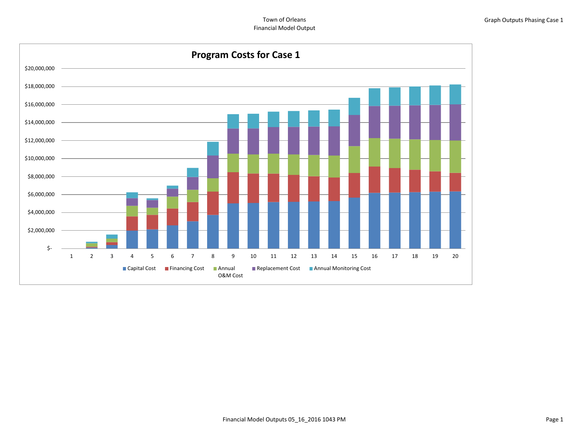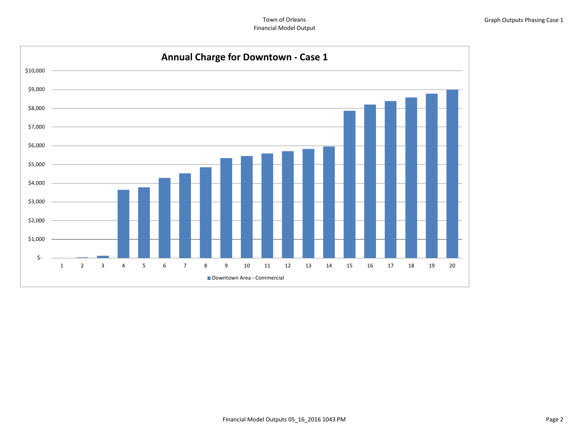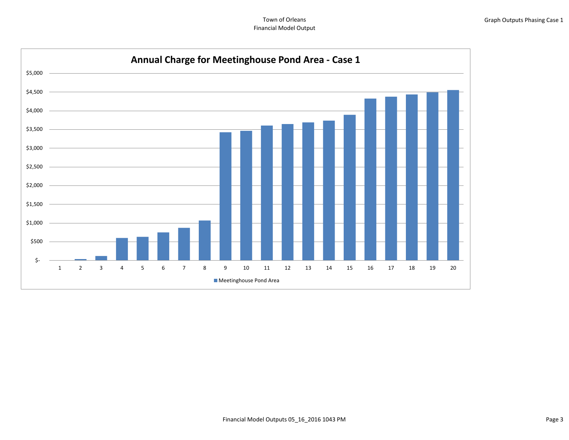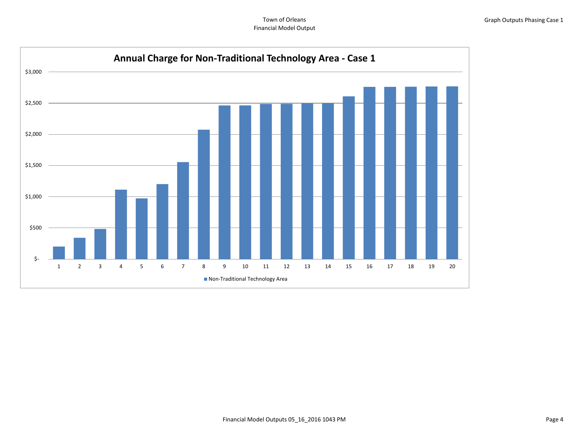Town of Orleans Financial Model Output

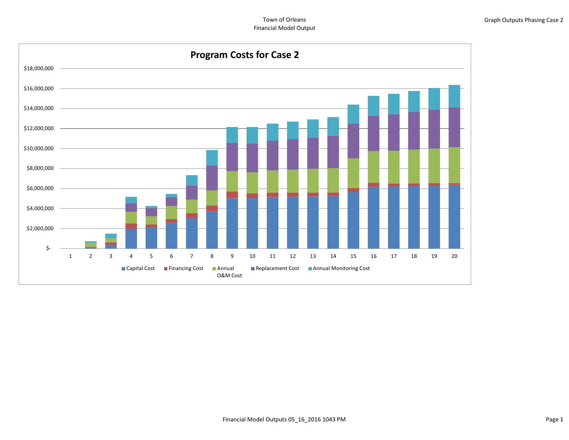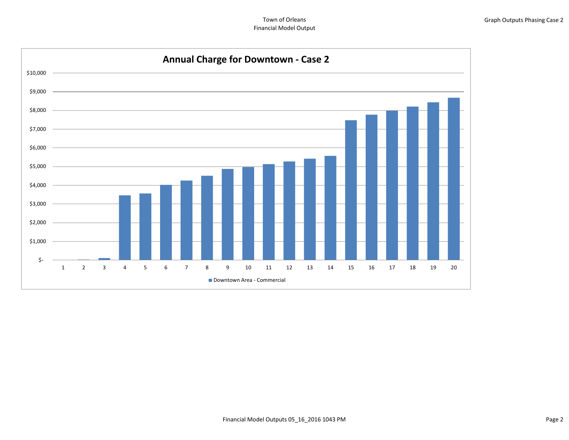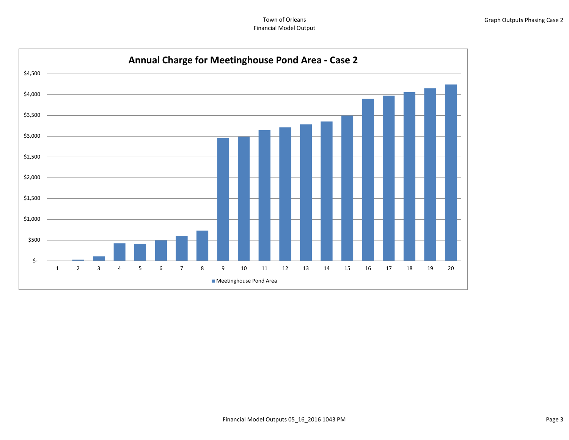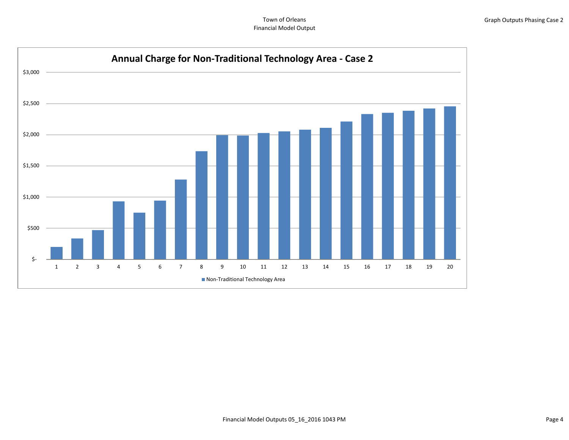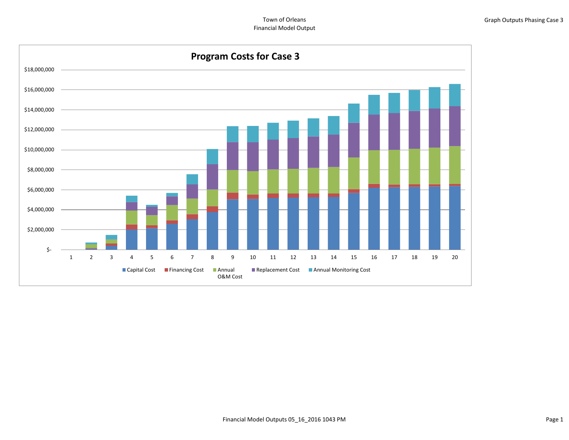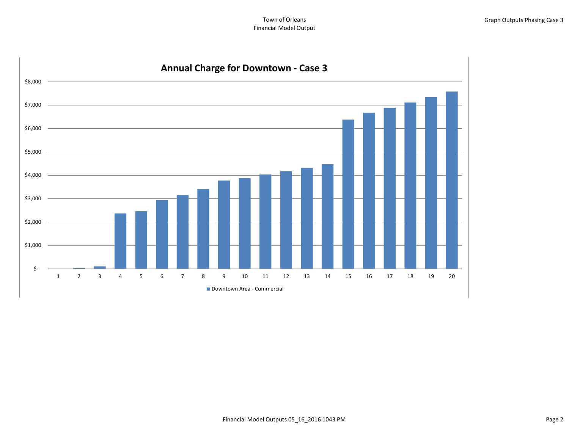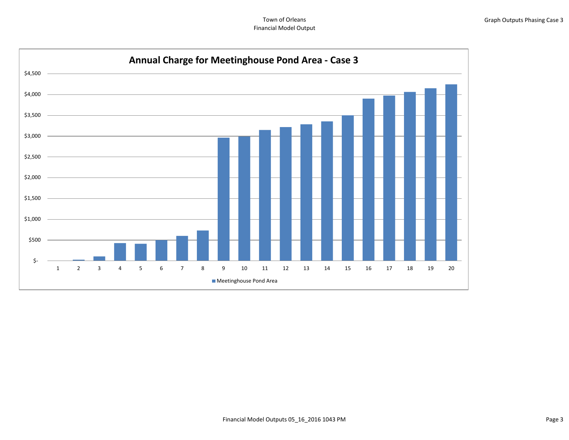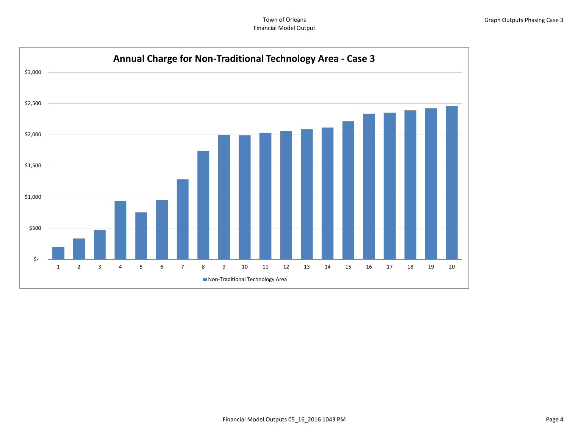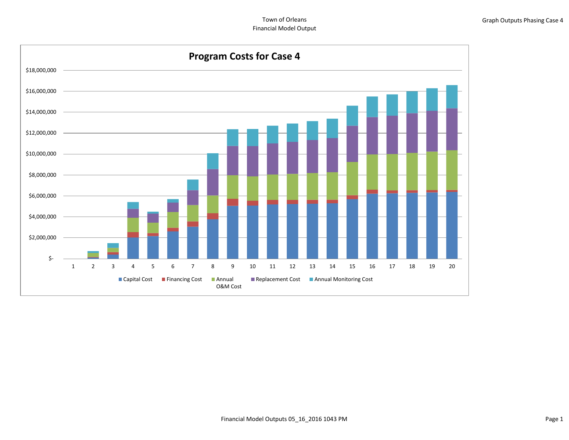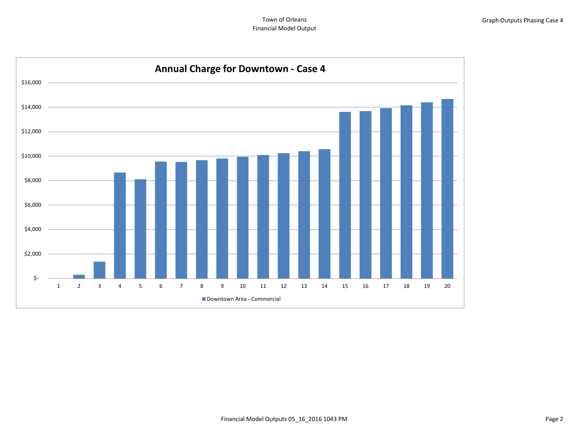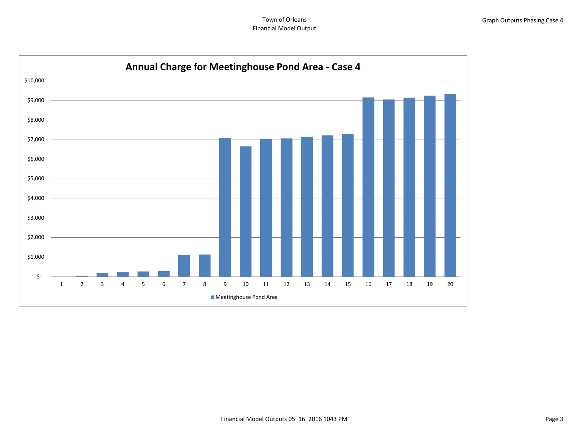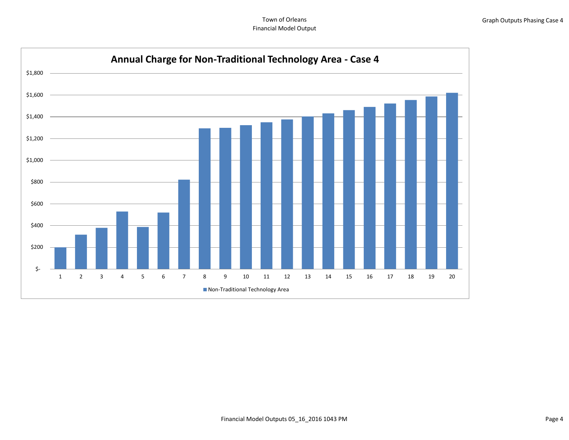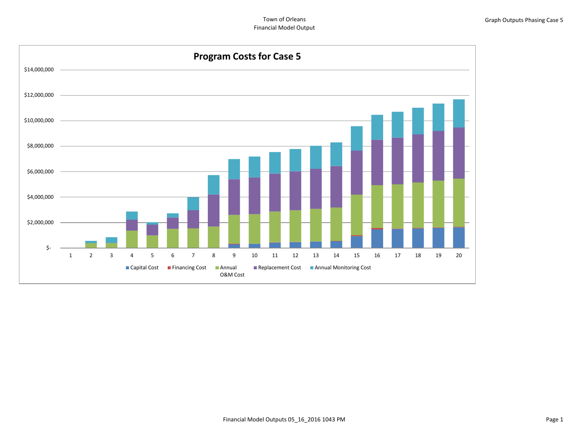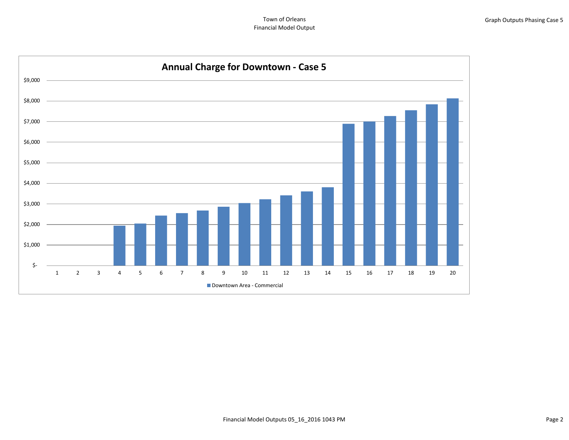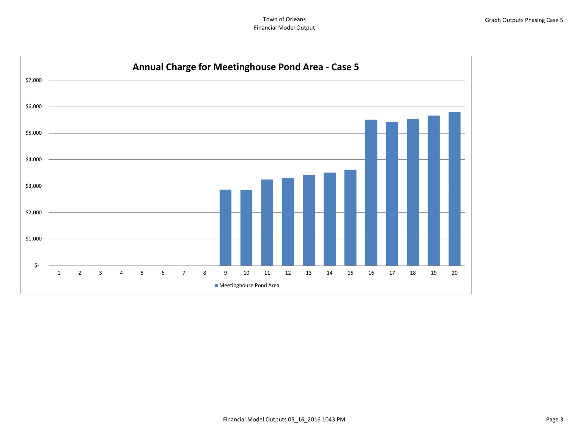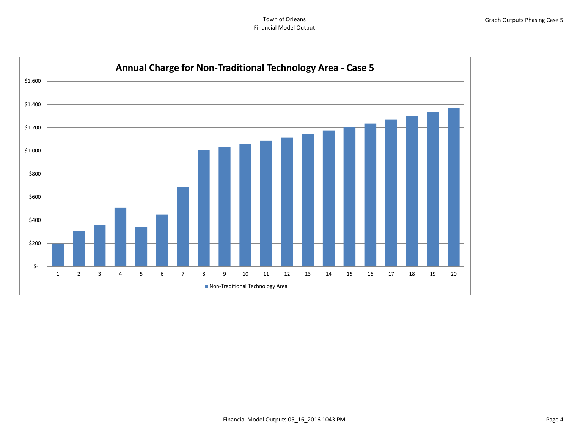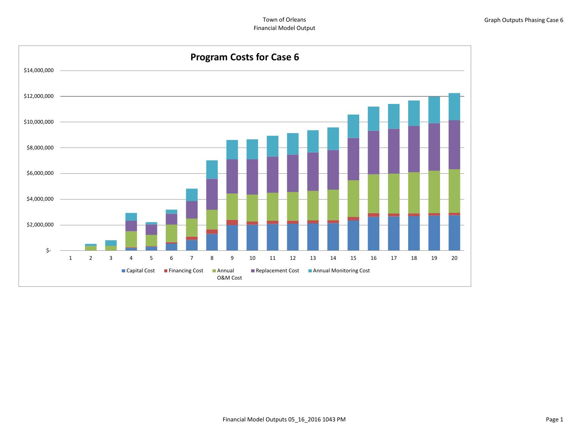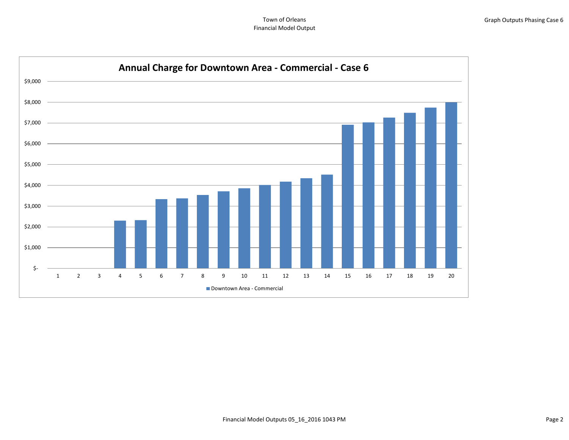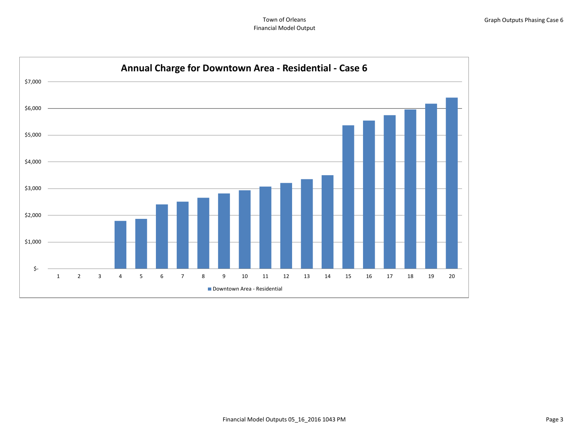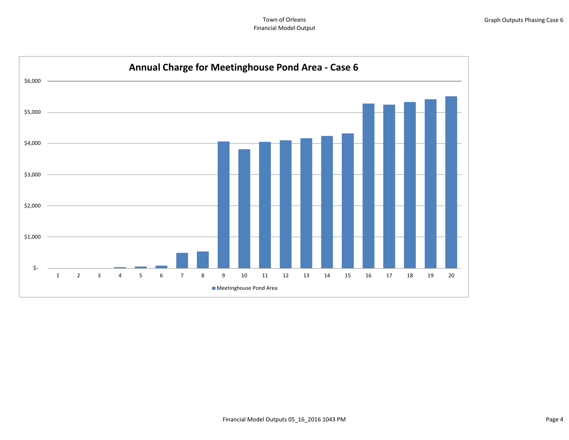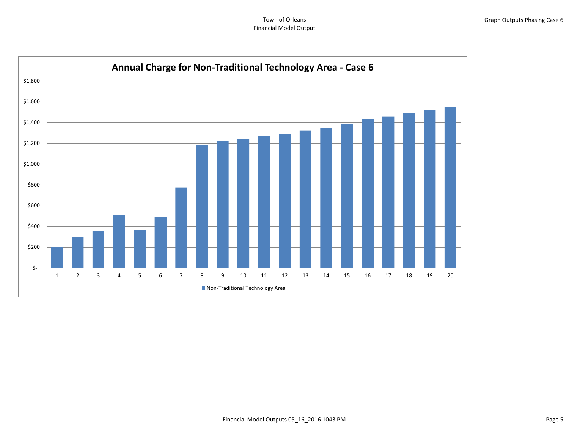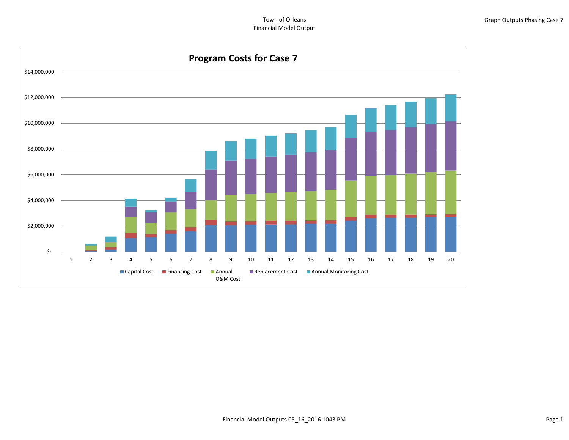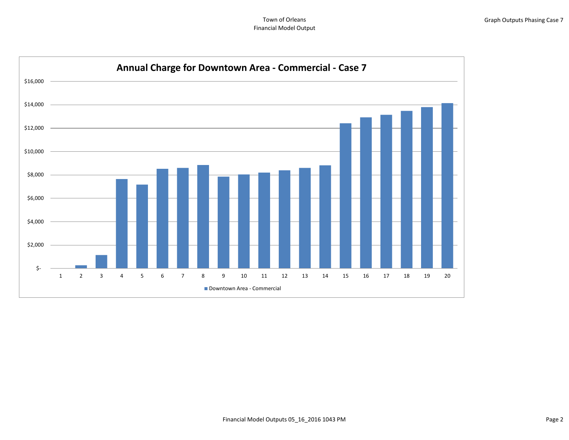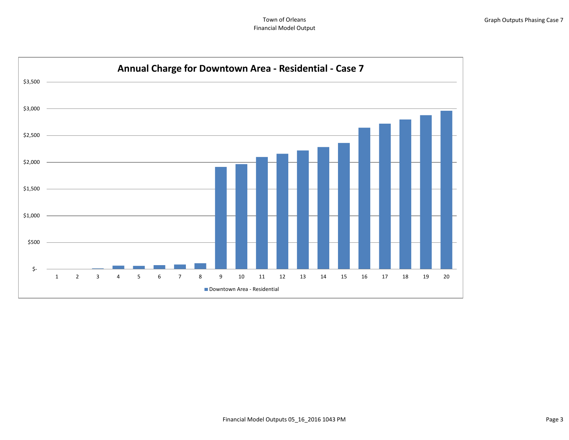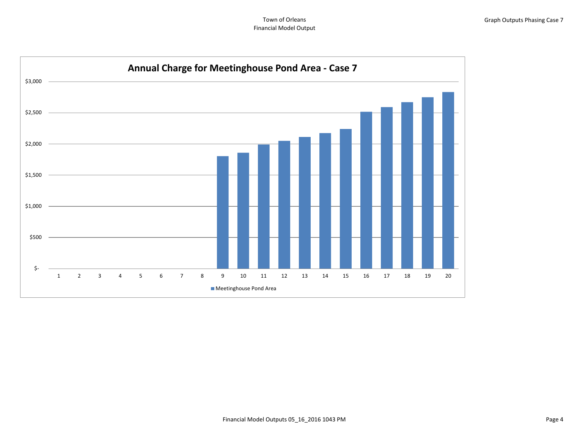